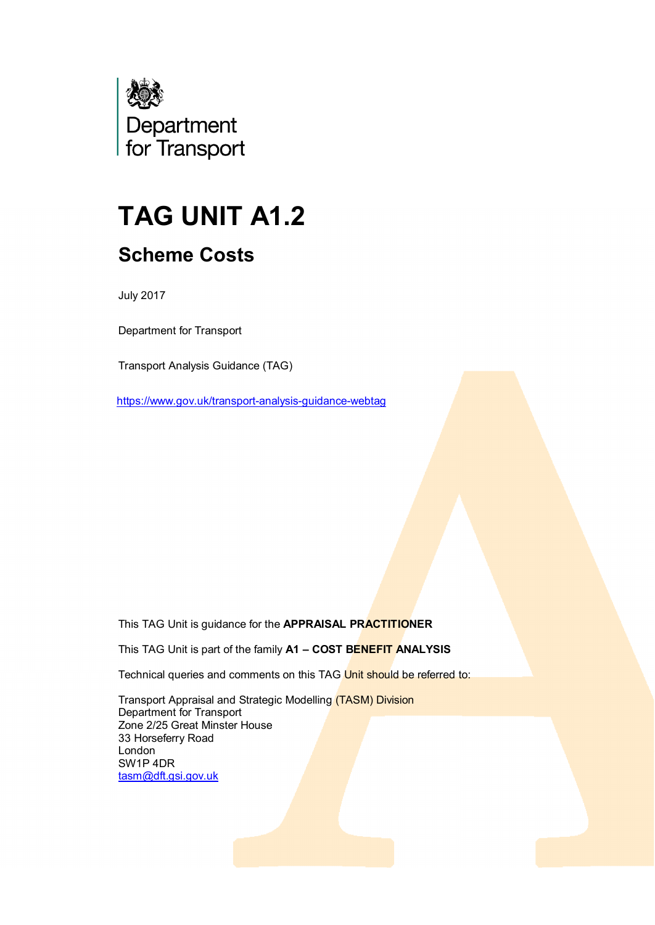

# **TAG UNIT A1.2 Scheme Costs**

July 2017

Department for Transport

Transport Analysis Guidance (TAG)

<https://www.gov.uk/transport-analysis-guidance-webtag>

This TAG Unit is guidance for the **APPRAISAL PRACTITIONER**

This TAG Unit is part of the family **A1 – COST BENEFIT ANALYSIS**

Technical queries and comments on this TAG Unit should be referred to:

Transport Appraisal and Strategic Modelling (TASM) Division Department for Transport Zone 2/25 Great Minster House 33 Horseferry Road London SW1P 4DR [tasm@dft.gsi.gov.uk](mailto:tasm@dft.gsi.gov.uk)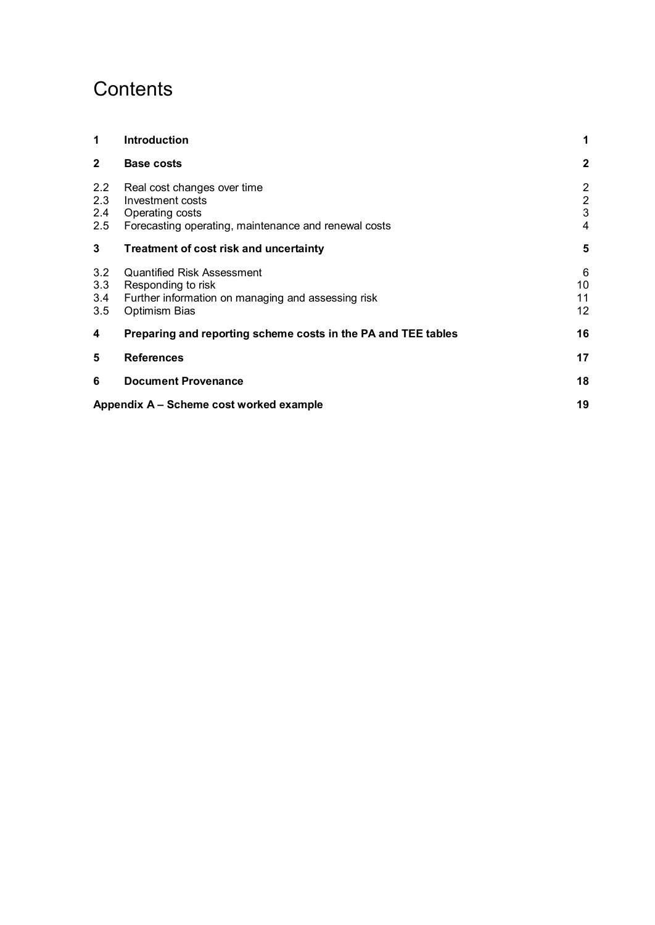## **Contents**

| 1                        | <b>Introduction</b>                                                                                                            | 1                                                         |
|--------------------------|--------------------------------------------------------------------------------------------------------------------------------|-----------------------------------------------------------|
| $\mathbf{2}$             | <b>Base costs</b>                                                                                                              | $\mathbf{2}$                                              |
| 2.2<br>2.3<br>2.4<br>2.5 | Real cost changes over time<br>Investment costs<br>Operating costs<br>Forecasting operating, maintenance and renewal costs     | $\overline{2}$<br>$\boldsymbol{2}$<br>3<br>$\overline{4}$ |
| 3                        | Treatment of cost risk and uncertainty                                                                                         | 5                                                         |
| 3.2<br>3.3<br>3.4<br>3.5 | <b>Quantified Risk Assessment</b><br>Responding to risk<br>Further information on managing and assessing risk<br>Optimism Bias | 6<br>10<br>11<br>12                                       |
| 4                        | Preparing and reporting scheme costs in the PA and TEE tables                                                                  | 16                                                        |
| 5                        | <b>References</b>                                                                                                              | 17                                                        |
| 6                        | <b>Document Provenance</b>                                                                                                     | 18                                                        |
|                          | Appendix A – Scheme cost worked example                                                                                        | 19                                                        |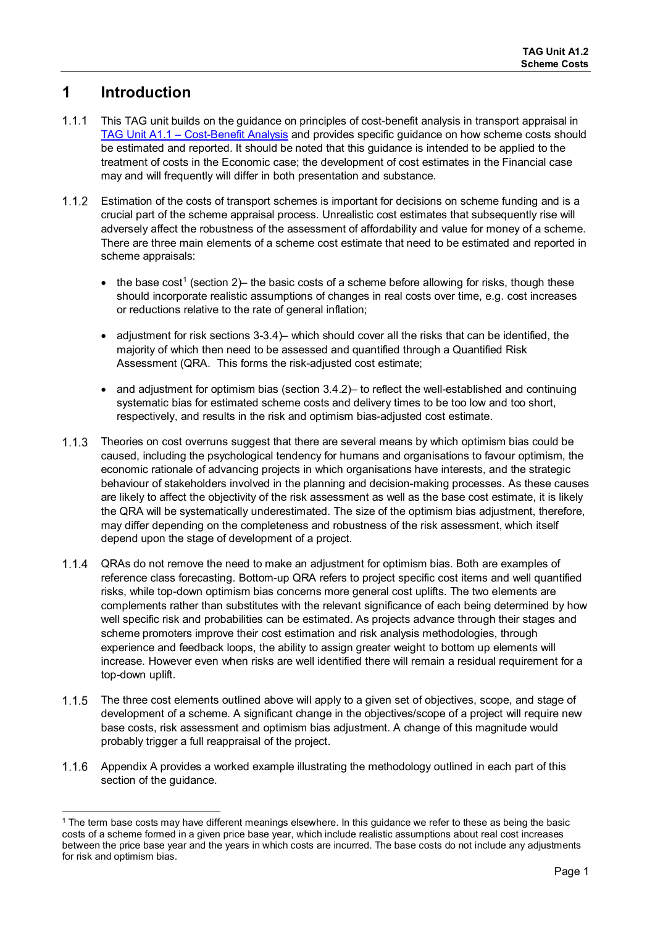## **1 Introduction**

- $1.1.1$ This TAG unit builds on the guidance on principles of cost-benefit analysis in transport appraisal in [TAG Unit A1.1 – Cost-Benefit Analysis](https://www.gov.uk/transport-analysis-guidance-webtag#a1-cost-benefit-analysis) and provides specific guidance on how scheme costs should be estimated and reported. It should be noted that this guidance is intended to be applied to the treatment of costs in the Economic case; the development of cost estimates in the Financial case may and will frequently will differ in both presentation and substance.
- 1.1.2 Estimation of the costs of transport schemes is important for decisions on scheme funding and is a crucial part of the scheme appraisal process. Unrealistic cost estimates that subsequently rise will adversely affect the robustness of the assessment of affordability and value for money of a scheme. There are three main elements of a scheme cost estimate that need to be estimated and reported in scheme appraisals:
	- the base cost<sup>1</sup> (section 2)– the basic costs of a scheme before allowing for risks, though these should incorporate realistic assumptions of changes in real costs over time, e.g. cost increases or reductions relative to the rate of general inflation;
	- adjustment for risk sections 3-3.4)– which should cover all the risks that can be identified, the majority of which then need to be assessed and quantified through a Quantified Risk Assessment (QRA. This forms the risk-adjusted cost estimate;
	- and adjustment for optimism bias (section 3.4.2) to reflect the well-established and continuing systematic bias for estimated scheme costs and delivery times to be too low and too short, respectively, and results in the risk and optimism bias-adjusted cost estimate.
- 1.1.3 Theories on cost overruns suggest that there are several means by which optimism bias could be caused, including the psychological tendency for humans and organisations to favour optimism, the economic rationale of advancing projects in which organisations have interests, and the strategic behaviour of stakeholders involved in the planning and decision-making processes. As these causes are likely to affect the objectivity of the risk assessment as well as the base cost estimate, it is likely the QRA will be systematically underestimated. The size of the optimism bias adjustment, therefore, may differ depending on the completeness and robustness of the risk assessment, which itself depend upon the stage of development of a project.
- $1.1.4$ QRAs do not remove the need to make an adjustment for optimism bias. Both are examples of reference class forecasting. Bottom-up QRA refers to project specific cost items and well quantified risks, while top-down optimism bias concerns more general cost uplifts. The two elements are complements rather than substitutes with the relevant significance of each being determined by how well specific risk and probabilities can be estimated. As projects advance through their stages and scheme promoters improve their cost estimation and risk analysis methodologies, through experience and feedback loops, the ability to assign greater weight to bottom up elements will increase. However even when risks are well identified there will remain a residual requirement for a top-down uplift.
- $1.1.5$ The three cost elements outlined above will apply to a given set of objectives, scope, and stage of development of a scheme. A significant change in the objectives/scope of a project will require new base costs, risk assessment and optimism bias adjustment. A change of this magnitude would probably trigger a full reappraisal of the project.
- 1.1.6 [Appendix A](#page-20-1) provides a worked example illustrating the methodology outlined in each part of this section of the guidance.

ı <sup>1</sup> The term base costs may have different meanings elsewhere. In this guidance we refer to these as being the basic costs of a scheme formed in a given price base year, which include realistic assumptions about real cost increases between the price base year and the years in which costs are incurred. The base costs do not include any adjustments for risk and optimism bias.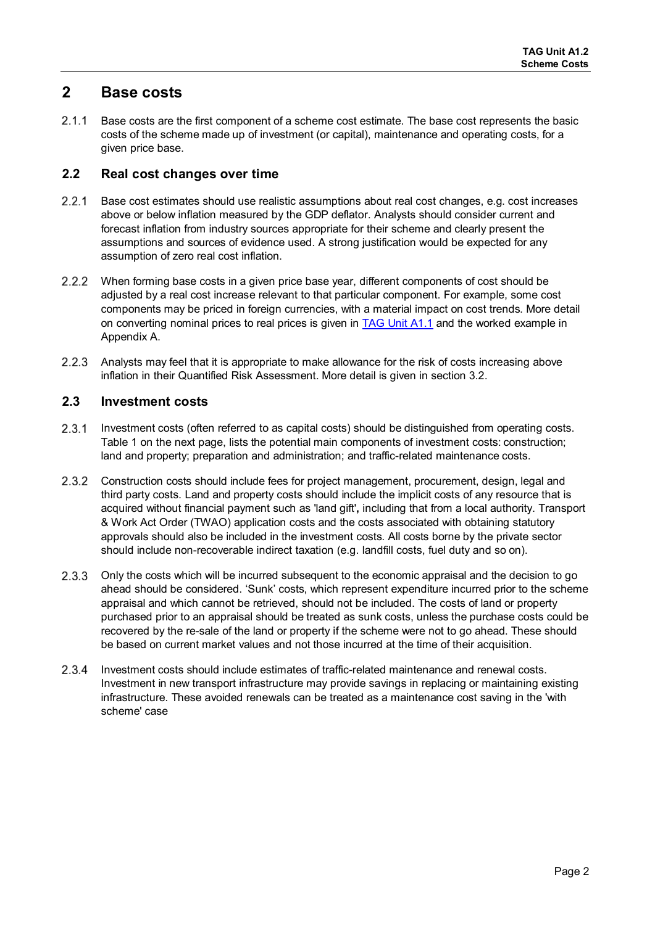## **2 Base costs**

2.1.1 Base costs are the first component of a scheme cost estimate. The base cost represents the basic costs of the scheme made up of investment (or capital), maintenance and operating costs, for a given price base.

## **2.2 Real cost changes over time**

- 2.2.1 Base cost estimates should use realistic assumptions about real cost changes, e.g. cost increases above or below inflation measured by the GDP deflator. Analysts should consider current and forecast inflation from industry sources appropriate for their scheme and clearly present the assumptions and sources of evidence used. A strong justification would be expected for any assumption of zero real cost inflation.
- When forming base costs in a given price base year, different components of cost should be adjusted by a real cost increase relevant to that particular component. For example, some cost components may be priced in foreign currencies, with a material impact on cost trends. More detail on converting nominal prices to real prices is given in [TAG Unit A1.1](https://www.gov.uk/transport-analysis-guidance-webtag#a1-cost-benefit-analysis) and the worked example in [Appendix A.](#page-20-1)
- $2.2.3$ Analysts may feel that it is appropriate to make allowance for the risk of costs increasing above inflation in their Quantified Risk Assessment. More detail is given in section 3.2.

## **2.3 Investment costs**

- $2.3.1$ Investment costs (often referred to as capital costs) should be distinguished from operating costs. Table 1 on the next page, lists the potential main components of investment costs: construction; land and property; preparation and administration; and traffic-related maintenance costs.
- $2.3.2$ Construction costs should include fees for project management, procurement, design, legal and third party costs. Land and property costs should include the implicit costs of any resource that is acquired without financial payment such as 'land gift'**,** including that from a local authority. Transport & Work Act Order (TWAO) application costs and the costs associated with obtaining statutory approvals should also be included in the investment costs. All costs borne by the private sector should include non-recoverable indirect taxation (e.g. landfill costs, fuel duty and so on).
- 2.3.3 Only the costs which will be incurred subsequent to the economic appraisal and the decision to go ahead should be considered. 'Sunk' costs, which represent expenditure incurred prior to the scheme appraisal and which cannot be retrieved, should not be included. The costs of land or property purchased prior to an appraisal should be treated as sunk costs, unless the purchase costs could be recovered by the re-sale of the land or property if the scheme were not to go ahead. These should be based on current market values and not those incurred at the time of their acquisition.
- 2.3.4 Investment costs should include estimates of traffic-related maintenance and renewal costs. Investment in new transport infrastructure may provide savings in replacing or maintaining existing infrastructure. These avoided renewals can be treated as a maintenance cost saving in the 'with scheme' case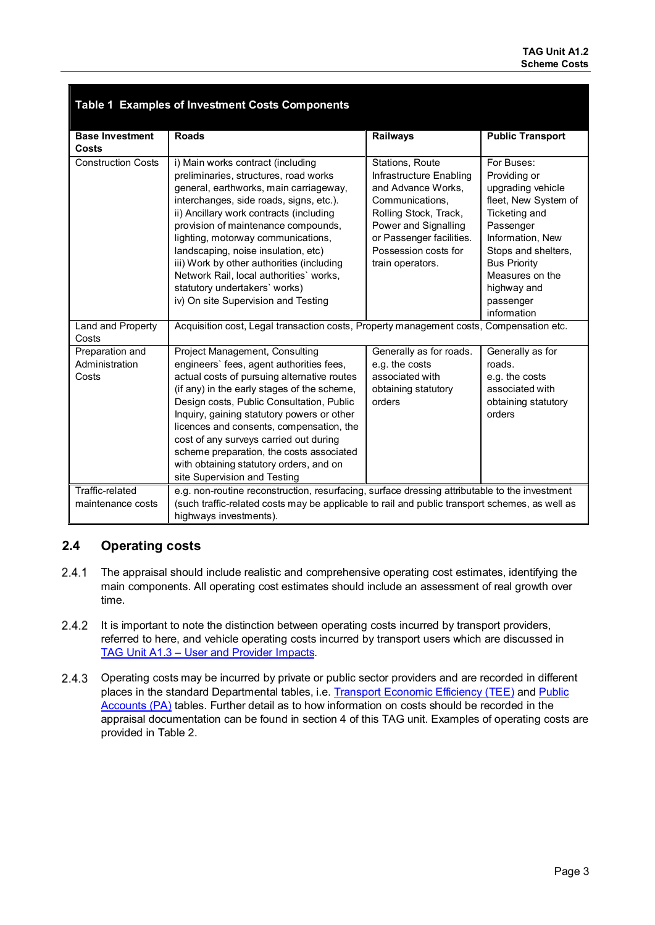|                                            | Table 1 Examples of Investment Costs Components                                                                                                                                                                                                                                                                                                                                                                                                                                                |                                                                                                                                                                                                              |                                                                                                                                                                                                                                       |  |  |
|--------------------------------------------|------------------------------------------------------------------------------------------------------------------------------------------------------------------------------------------------------------------------------------------------------------------------------------------------------------------------------------------------------------------------------------------------------------------------------------------------------------------------------------------------|--------------------------------------------------------------------------------------------------------------------------------------------------------------------------------------------------------------|---------------------------------------------------------------------------------------------------------------------------------------------------------------------------------------------------------------------------------------|--|--|
| <b>Base Investment</b><br>Costs            | <b>Roads</b>                                                                                                                                                                                                                                                                                                                                                                                                                                                                                   | Railways                                                                                                                                                                                                     | <b>Public Transport</b>                                                                                                                                                                                                               |  |  |
| <b>Construction Costs</b>                  | i) Main works contract (including<br>preliminaries, structures, road works<br>general, earthworks, main carriageway,<br>interchanges, side roads, signs, etc.).<br>ii) Ancillary work contracts (including<br>provision of maintenance compounds,<br>lighting, motorway communications,<br>landscaping, noise insulation, etc)<br>iii) Work by other authorities (including<br>Network Rail, local authorities' works,<br>statutory undertakers' works)<br>iv) On site Supervision and Testing | Stations, Route<br>Infrastructure Enabling<br>and Advance Works,<br>Communications.<br>Rolling Stock, Track,<br>Power and Signalling<br>or Passenger facilities.<br>Possession costs for<br>train operators. | For Buses:<br>Providing or<br>upgrading vehicle<br>fleet, New System of<br>Ticketing and<br>Passenger<br>Information, New<br>Stops and shelters,<br><b>Bus Priority</b><br>Measures on the<br>highway and<br>passenger<br>information |  |  |
| Land and Property<br>Costs                 | Acquisition cost, Legal transaction costs, Property management costs, Compensation etc.                                                                                                                                                                                                                                                                                                                                                                                                        |                                                                                                                                                                                                              |                                                                                                                                                                                                                                       |  |  |
| Preparation and<br>Administration<br>Costs | Project Management, Consulting<br>engineers' fees, agent authorities fees,<br>actual costs of pursuing alternative routes<br>(if any) in the early stages of the scheme,<br>Design costs, Public Consultation, Public<br>Inquiry, gaining statutory powers or other<br>licences and consents, compensation, the<br>cost of any surveys carried out during<br>scheme preparation, the costs associated<br>with obtaining statutory orders, and on<br>site Supervision and Testing               | Generally as for roads.<br>e.g. the costs<br>associated with<br>obtaining statutory<br>orders                                                                                                                | Generally as for<br>roads.<br>e.g. the costs<br>associated with<br>obtaining statutory<br>orders                                                                                                                                      |  |  |
| Traffic-related<br>maintenance costs       | e.g. non-routine reconstruction, resurfacing, surface dressing attributable to the investment<br>(such traffic-related costs may be applicable to rail and public transport schemes, as well as<br>highways investments).                                                                                                                                                                                                                                                                      |                                                                                                                                                                                                              |                                                                                                                                                                                                                                       |  |  |

## **2.4 Operating costs**

- $2.4.1$ The appraisal should include realistic and comprehensive operating cost estimates, identifying the main components. All operating cost estimates should include an assessment of real growth over time.
- 2.4.2 It is important to note the distinction between operating costs incurred by transport providers, referred to here, and vehicle operating costs incurred by transport users which are discussed in [TAG Unit A1.3 – User and Provider Impacts.](https://www.gov.uk/transport-analysis-guidance-webtag#a1-cost-benefit-analysis)
- $2.4.3$ Operating costs may be incurred by private or public sector providers and are recorded in different places in the standard Departmental tables, i.e. [Transport Economic Efficiency \(TEE\)](https://www.gov.uk/government/publications/webtag-appraisal-tables) and Public [Accounts \(PA\)](https://www.gov.uk/government/publications/webtag-appraisal-tables) tables. Further detail as to how information on costs should be recorded in the appraisal documentation can be found in section 4 of this TAG unit. Examples of operating costs are provided in Table 2.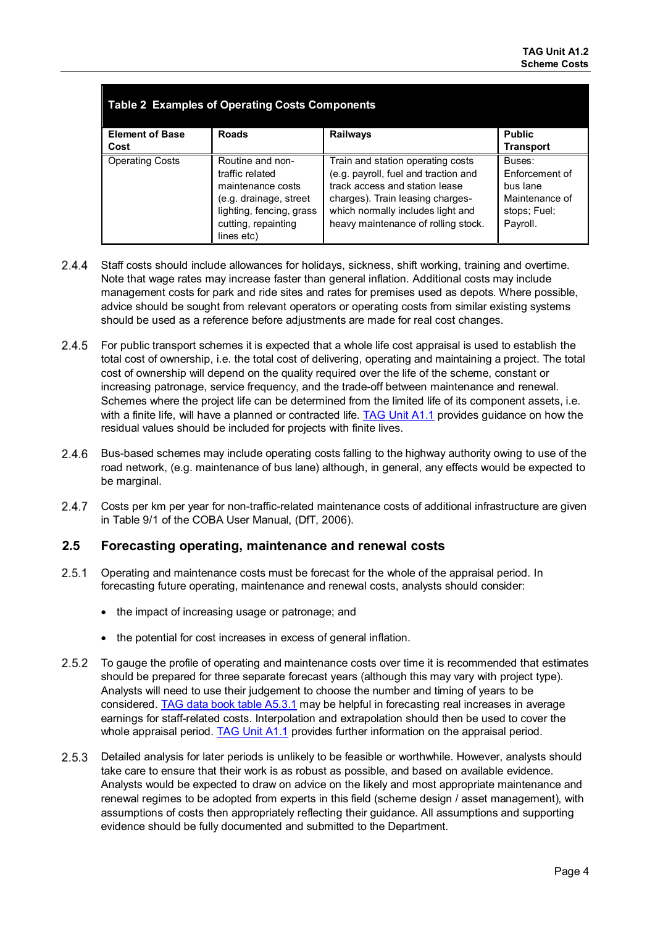| <b>Table 2 Examples of Operating Costs Components</b> |                                                                                                                                                     |                                                                                                                                                                                                                             |                                                                                    |  |  |  |
|-------------------------------------------------------|-----------------------------------------------------------------------------------------------------------------------------------------------------|-----------------------------------------------------------------------------------------------------------------------------------------------------------------------------------------------------------------------------|------------------------------------------------------------------------------------|--|--|--|
| <b>Element of Base</b>                                | <b>Roads</b>                                                                                                                                        | <b>Railways</b>                                                                                                                                                                                                             | <b>Public</b>                                                                      |  |  |  |
| Cost                                                  |                                                                                                                                                     |                                                                                                                                                                                                                             | <b>Transport</b>                                                                   |  |  |  |
| <b>Operating Costs</b>                                | Routine and non-<br>traffic related<br>maintenance costs<br>(e.g. drainage, street<br>lighting, fencing, grass<br>cutting, repainting<br>lines etc) | Train and station operating costs<br>(e.g. payroll, fuel and traction and<br>track access and station lease<br>charges). Train leasing charges-<br>which normally includes light and<br>heavy maintenance of rolling stock. | Buses:<br>Enforcement of<br>bus lane<br>Maintenance of<br>stops; Fuel;<br>Payroll. |  |  |  |

- $2.4.4$ Staff costs should include allowances for holidays, sickness, shift working, training and overtime. Note that wage rates may increase faster than general inflation. Additional costs may include management costs for park and ride sites and rates for premises used as depots. Where possible, advice should be sought from relevant operators or operating costs from similar existing systems should be used as a reference before adjustments are made for real cost changes.
- $2.4.5$ For public transport schemes it is expected that a whole life cost appraisal is used to establish the total cost of ownership, i.e. the total cost of delivering, operating and maintaining a project. The total cost of ownership will depend on the quality required over the life of the scheme, constant or increasing patronage, service frequency, and the trade-off between maintenance and renewal. Schemes where the project life can be determined from the limited life of its component assets, i.e. with a finite life, will have a planned or contracted life. [TAG Unit A1.1](https://www.gov.uk/transport-analysis-guidance-webtag#a1-cost-benefit-analysis) provides guidance on how the residual values should be included for projects with finite lives.
- 2.4.6 Bus-based schemes may include operating costs falling to the highway authority owing to use of the road network, (e.g. maintenance of bus lane) although, in general, any effects would be expected to be marginal.
- $2.4.7$ Costs per km per year for non-traffic-related maintenance costs of additional infrastructure are given in Table 9/1 of the COBA User Manual, (DfT, 2006).

## **2.5 Forecasting operating, maintenance and renewal costs**

- $2.5.1$ Operating and maintenance costs must be forecast for the whole of the appraisal period. In forecasting future operating, maintenance and renewal costs, analysts should consider:
	- the impact of increasing usage or patronage; and
	- the potential for cost increases in excess of general inflation.
- 2.5.2 To gauge the profile of operating and maintenance costs over time it is recommended that estimates should be prepared for three separate forecast years (although this may vary with project type). Analysts will need to use their judgement to choose the number and timing of years to be considered. [TAG data book table A5.3.1](https://www.gov.uk/transport-analysis-guidance-webtag#webtag-data-book) may be helpful in forecasting real increases in average earnings for staff-related costs. Interpolation and extrapolation should then be used to cover the whole appraisal period. [TAG Unit A1.1](https://www.gov.uk/transport-analysis-guidance-webtag#a1-cost-benefit-analysis) provides further information on the appraisal period.
- Detailed analysis for later periods is unlikely to be feasible or worthwhile. However, analysts should take care to ensure that their work is as robust as possible, and based on available evidence. Analysts would be expected to draw on advice on the likely and most appropriate maintenance and renewal regimes to be adopted from experts in this field (scheme design / asset management), with assumptions of costs then appropriately reflecting their guidance. All assumptions and supporting evidence should be fully documented and submitted to the Department.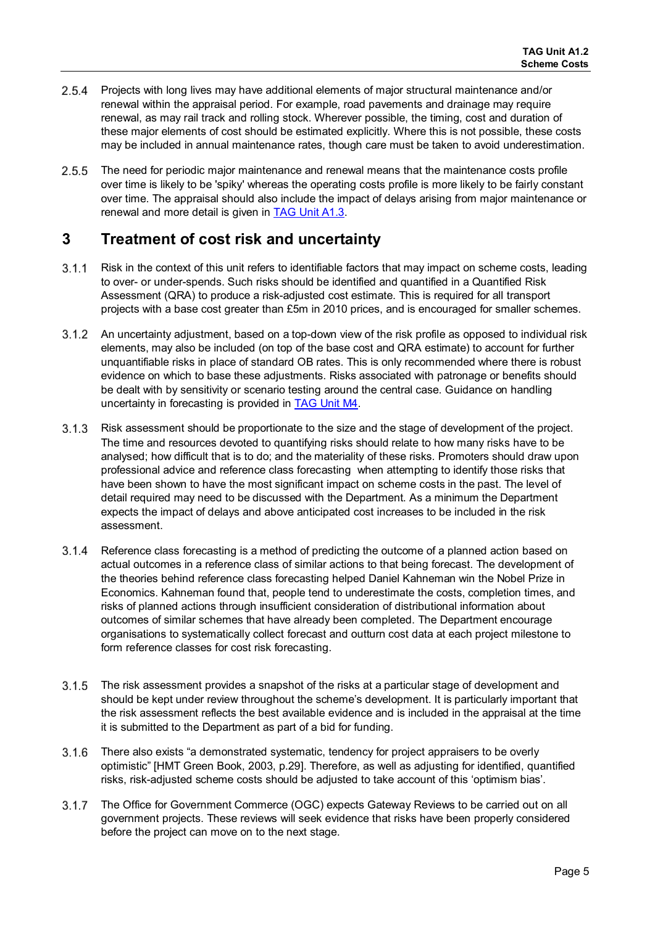- 2.5.4 Projects with long lives may have additional elements of major structural maintenance and/or renewal within the appraisal period. For example, road pavements and drainage may require renewal, as may rail track and rolling stock. Wherever possible, the timing, cost and duration of these major elements of cost should be estimated explicitly. Where this is not possible, these costs may be included in annual maintenance rates, though care must be taken to avoid underestimation.
- $2.5.5$ The need for periodic major maintenance and renewal means that the maintenance costs profile over time is likely to be 'spiky' whereas the operating costs profile is more likely to be fairly constant over time. The appraisal should also include the impact of delays arising from major maintenance or renewal and more detail is given in [TAG Unit A1.3.](https://www.gov.uk/transport-analysis-guidance-webtag#a1-cost-benefit-analysis)

## **3 Treatment of cost risk and uncertainty**

- $3.1.1$ Risk in the context of this unit refers to identifiable factors that may impact on scheme costs, leading to over- or under-spends. Such risks should be identified and quantified in a Quantified Risk Assessment (QRA) to produce a risk-adjusted cost estimate. This is required for all transport projects with a base cost greater than £5m in 2010 prices, and is encouraged for smaller schemes.
- 3.1.2 An uncertainty adjustment, based on a top-down view of the risk profile as opposed to individual risk elements, may also be included (on top of the base cost and QRA estimate) to account for further unquantifiable risks in place of standard OB rates. This is only recommended where there is robust evidence on which to base these adjustments. Risks associated with patronage or benefits should be dealt with by sensitivity or scenario testing around the central case. Guidance on handling uncertainty in forecasting is provided in [TAG Unit M4.](https://www.gov.uk/transport-analysis-guidance-webtag#m4-forecasting)
- 3.1.3 Risk assessment should be proportionate to the size and the stage of development of the project. The time and resources devoted to quantifying risks should relate to how many risks have to be analysed; how difficult that is to do; and the materiality of these risks. Promoters should draw upon professional advice and reference class forecasting when attempting to identify those risks that have been shown to have the most significant impact on scheme costs in the past. The level of detail required may need to be discussed with the Department. As a minimum the Department expects the impact of delays and above anticipated cost increases to be included in the risk assessment.
- $3.1.4$ Reference class forecasting is a method of predicting the outcome of a planned action based on actual outcomes in a reference class of similar actions to that being forecast. The development of the theories behind reference class forecasting helped Daniel Kahneman win the Nobel Prize in Economics. Kahneman found that, people tend to underestimate the costs, completion times, and risks of planned actions through insufficient consideration of distributional information about outcomes of similar schemes that have already been completed. The Department encourage organisations to systematically collect forecast and outturn cost data at each project milestone to form reference classes for cost risk forecasting.
- 3.1.5 The risk assessment provides a snapshot of the risks at a particular stage of development and should be kept under review throughout the scheme's development. It is particularly important that the risk assessment reflects the best available evidence and is included in the appraisal at the time it is submitted to the Department as part of a bid for funding.
- $3.1.6$ There also exists "a demonstrated systematic, tendency for project appraisers to be overly optimistic" [HMT Green Book, 2003, p.29]. Therefore, as well as adjusting for identified, quantified risks, risk-adjusted scheme costs should be adjusted to take account of this 'optimism bias'.
- $3.1.7$ The Office for Government Commerce (OGC) expects Gateway Reviews to be carried out on all government projects. These reviews will seek evidence that risks have been properly considered before the project can move on to the next stage.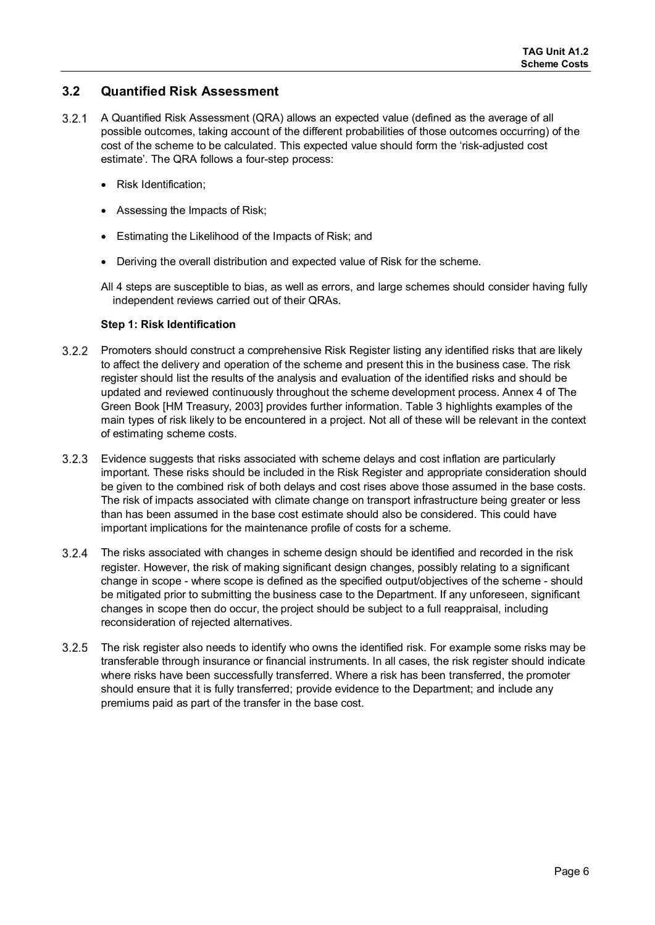## **3.2 Quantified Risk Assessment**

- $3.2.1$ A Quantified Risk Assessment (QRA) allows an expected value (defined as the average of all possible outcomes, taking account of the different probabilities of those outcomes occurring) of the cost of the scheme to be calculated. This expected value should form the 'risk-adjusted cost estimate'. The QRA follows a four-step process:
	- Risk Identification;
	- Assessing the Impacts of Risk;
	- Estimating the Likelihood of the Impacts of Risk; and
	- Deriving the overall distribution and expected value of Risk for the scheme.
	- All 4 steps are susceptible to bias, as well as errors, and large schemes should consider having fully independent reviews carried out of their QRAs.

#### **Step 1: Risk Identification**

- Promoters should construct a comprehensive Risk Register listing any identified risks that are likely to affect the delivery and operation of the scheme and present this in the business case. The risk register should list the results of the analysis and evaluation of the identified risks and should be updated and reviewed continuously throughout the scheme development process. Annex 4 of The Green Book [HM Treasury, 2003] provides further information. Table 3 highlights examples of the main types of risk likely to be encountered in a project. Not all of these will be relevant in the context of estimating scheme costs.
- $3.2.3$ Evidence suggests that risks associated with scheme delays and cost inflation are particularly important. These risks should be included in the Risk Register and appropriate consideration should be given to the combined risk of both delays and cost rises above those assumed in the base costs. The risk of impacts associated with climate change on transport infrastructure being greater or less than has been assumed in the base cost estimate should also be considered. This could have important implications for the maintenance profile of costs for a scheme.
- The risks associated with changes in scheme design should be identified and recorded in the risk register. However, the risk of making significant design changes, possibly relating to a significant change in scope - where scope is defined as the specified output/objectives of the scheme - should be mitigated prior to submitting the business case to the Department. If any unforeseen, significant changes in scope then do occur, the project should be subject to a full reappraisal, including reconsideration of rejected alternatives.
- 3.2.5 The risk register also needs to identify who owns the identified risk. For example some risks may be transferable through insurance or financial instruments. In all cases, the risk register should indicate where risks have been successfully transferred. Where a risk has been transferred, the promoter should ensure that it is fully transferred; provide evidence to the Department; and include any premiums paid as part of the transfer in the base cost.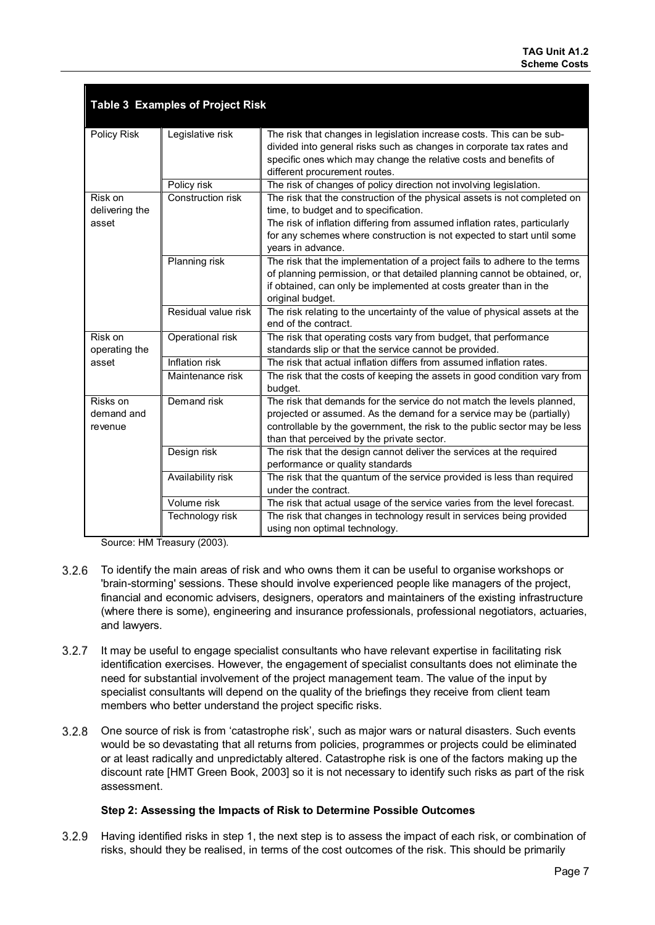| <b>Table 3 Examples of Project Risk</b> |                     |                                                                                                                                                                                                                                                                           |  |  |  |  |
|-----------------------------------------|---------------------|---------------------------------------------------------------------------------------------------------------------------------------------------------------------------------------------------------------------------------------------------------------------------|--|--|--|--|
| Policy Risk                             | Legislative risk    | The risk that changes in legislation increase costs. This can be sub-<br>divided into general risks such as changes in corporate tax rates and<br>specific ones which may change the relative costs and benefits of<br>different procurement routes.                      |  |  |  |  |
|                                         | Policy risk         | The risk of changes of policy direction not involving legislation.                                                                                                                                                                                                        |  |  |  |  |
| Risk on<br>delivering the<br>asset      | Construction risk   | The risk that the construction of the physical assets is not completed on<br>time, to budget and to specification.<br>The risk of inflation differing from assumed inflation rates, particularly                                                                          |  |  |  |  |
|                                         |                     | for any schemes where construction is not expected to start until some<br>years in advance.                                                                                                                                                                               |  |  |  |  |
|                                         | Planning risk       | The risk that the implementation of a project fails to adhere to the terms<br>of planning permission, or that detailed planning cannot be obtained, or,<br>if obtained, can only be implemented at costs greater than in the<br>original budget.                          |  |  |  |  |
|                                         | Residual value risk | The risk relating to the uncertainty of the value of physical assets at the<br>end of the contract.                                                                                                                                                                       |  |  |  |  |
| Risk on<br>operating the                | Operational risk    | The risk that operating costs vary from budget, that performance<br>standards slip or that the service cannot be provided.                                                                                                                                                |  |  |  |  |
| asset                                   | Inflation risk      | The risk that actual inflation differs from assumed inflation rates.                                                                                                                                                                                                      |  |  |  |  |
|                                         | Maintenance risk    | The risk that the costs of keeping the assets in good condition vary from<br>budget.                                                                                                                                                                                      |  |  |  |  |
| Risks on<br>demand and<br>revenue       | Demand risk         | The risk that demands for the service do not match the levels planned,<br>projected or assumed. As the demand for a service may be (partially)<br>controllable by the government, the risk to the public sector may be less<br>than that perceived by the private sector. |  |  |  |  |
|                                         | Design risk         | The risk that the design cannot deliver the services at the required<br>performance or quality standards                                                                                                                                                                  |  |  |  |  |
|                                         | Availability risk   | The risk that the quantum of the service provided is less than required<br>under the contract.                                                                                                                                                                            |  |  |  |  |
|                                         | Volume risk         | The risk that actual usage of the service varies from the level forecast.                                                                                                                                                                                                 |  |  |  |  |
|                                         | Technology risk     | The risk that changes in technology result in services being provided<br>using non optimal technology.                                                                                                                                                                    |  |  |  |  |

Source: HM Treasury (2003).

- $3.2.6$ To identify the main areas of risk and who owns them it can be useful to organise workshops or 'brain-storming' sessions. These should involve experienced people like managers of the project, financial and economic advisers, designers, operators and maintainers of the existing infrastructure (where there is some), engineering and insurance professionals, professional negotiators, actuaries, and lawyers.
- $3.2.7$ It may be useful to engage specialist consultants who have relevant expertise in facilitating risk identification exercises. However, the engagement of specialist consultants does not eliminate the need for substantial involvement of the project management team. The value of the input by specialist consultants will depend on the quality of the briefings they receive from client team members who better understand the project specific risks.
- $3.2.8$ One source of risk is from 'catastrophe risk', such as major wars or natural disasters. Such events would be so devastating that all returns from policies, programmes or projects could be eliminated or at least radically and unpredictably altered. Catastrophe risk is one of the factors making up the discount rate [HMT Green Book, 2003] so it is not necessary to identify such risks as part of the risk assessment.

#### **Step 2: Assessing the Impacts of Risk to Determine Possible Outcomes**

 $3.2.9$ Having identified risks in step 1, the next step is to assess the impact of each risk, or combination of risks, should they be realised, in terms of the cost outcomes of the risk. This should be primarily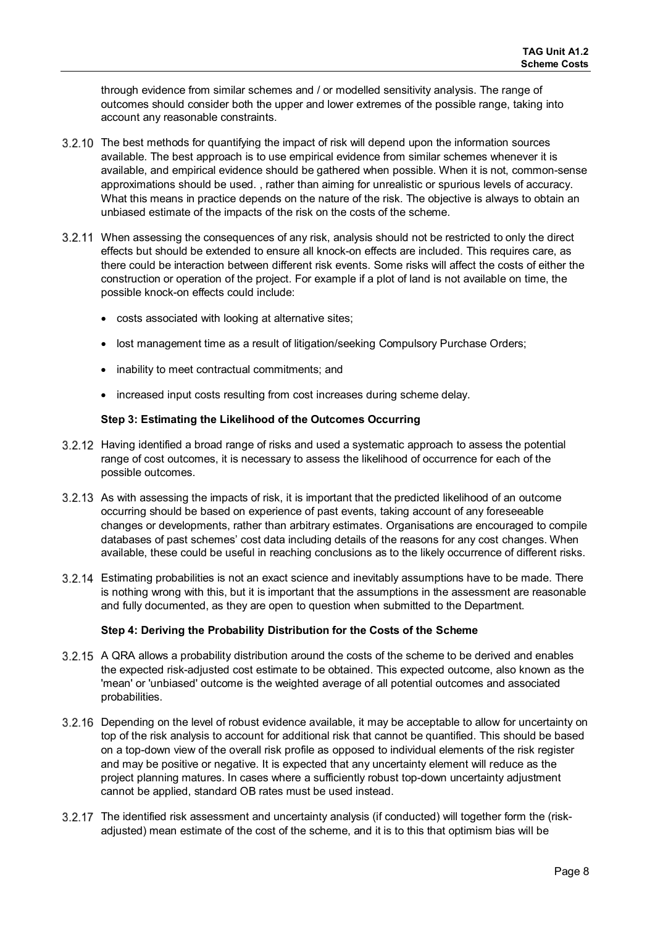through evidence from similar schemes and / or modelled sensitivity analysis. The range of outcomes should consider both the upper and lower extremes of the possible range, taking into account any reasonable constraints.

- 3.2.10 The best methods for quantifying the impact of risk will depend upon the information sources available. The best approach is to use empirical evidence from similar schemes whenever it is available, and empirical evidence should be gathered when possible. When it is not, common-sense approximations should be used. , rather than aiming for unrealistic or spurious levels of accuracy. What this means in practice depends on the nature of the risk. The objective is always to obtain an unbiased estimate of the impacts of the risk on the costs of the scheme.
- When assessing the consequences of any risk, analysis should not be restricted to only the direct effects but should be extended to ensure all knock-on effects are included. This requires care, as there could be interaction between different risk events. Some risks will affect the costs of either the construction or operation of the project. For example if a plot of land is not available on time, the possible knock-on effects could include:
	- costs associated with looking at alternative sites;
	- lost management time as a result of litigation/seeking Compulsory Purchase Orders;
	- inability to meet contractual commitments; and
	- increased input costs resulting from cost increases during scheme delay.

#### **Step 3: Estimating the Likelihood of the Outcomes Occurring**

- 3.2.12 Having identified a broad range of risks and used a systematic approach to assess the potential range of cost outcomes, it is necessary to assess the likelihood of occurrence for each of the possible outcomes.
- 3.2.13 As with assessing the impacts of risk, it is important that the predicted likelihood of an outcome occurring should be based on experience of past events, taking account of any foreseeable changes or developments, rather than arbitrary estimates. Organisations are encouraged to compile databases of past schemes' cost data including details of the reasons for any cost changes. When available, these could be useful in reaching conclusions as to the likely occurrence of different risks.
- Estimating probabilities is not an exact science and inevitably assumptions have to be made. There is nothing wrong with this, but it is important that the assumptions in the assessment are reasonable and fully documented, as they are open to question when submitted to the Department.

#### **Step 4: Deriving the Probability Distribution for the Costs of the Scheme**

- 3.2.15 A QRA allows a probability distribution around the costs of the scheme to be derived and enables the expected risk-adjusted cost estimate to be obtained. This expected outcome, also known as the 'mean' or 'unbiased' outcome is the weighted average of all potential outcomes and associated probabilities.
- 3.2.16 Depending on the level of robust evidence available, it may be acceptable to allow for uncertainty on top of the risk analysis to account for additional risk that cannot be quantified. This should be based on a top-down view of the overall risk profile as opposed to individual elements of the risk register and may be positive or negative. It is expected that any uncertainty element will reduce as the project planning matures. In cases where a sufficiently robust top-down uncertainty adjustment cannot be applied, standard OB rates must be used instead.
- 3.2.17 The identified risk assessment and uncertainty analysis (if conducted) will together form the (riskadjusted) mean estimate of the cost of the scheme, and it is to this that optimism bias will be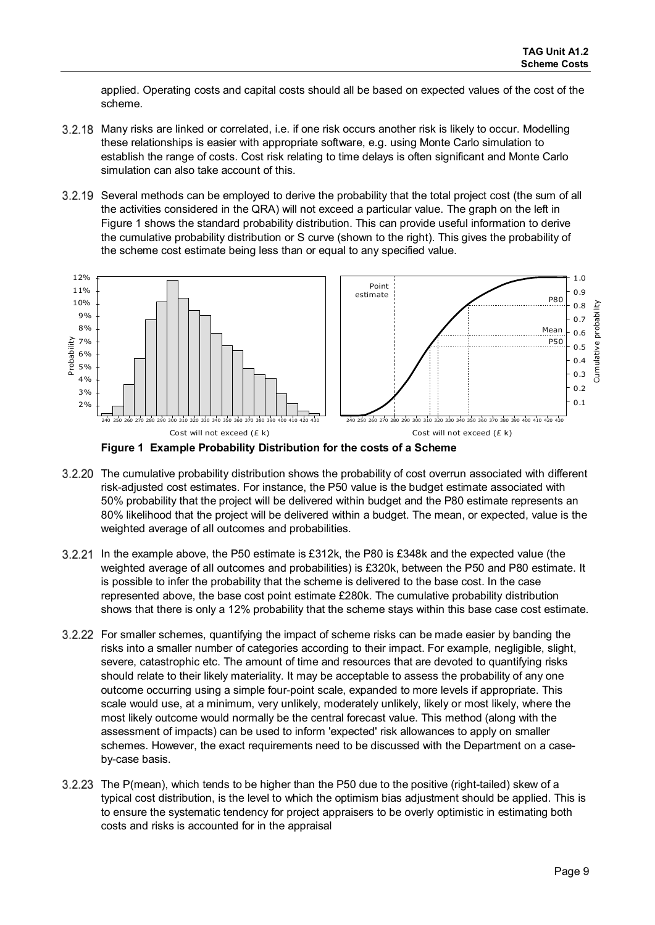applied. Operating costs and capital costs should all be based on expected values of the cost of the scheme.

- 3.2.18 Many risks are linked or correlated, i.e. if one risk occurs another risk is likely to occur. Modelling these relationships is easier with appropriate software, e.g. using Monte Carlo simulation to establish the range of costs. Cost risk relating to time delays is often significant and Monte Carlo simulation can also take account of this.
- 3.2.19 Several methods can be employed to derive the probability that the total project cost (the sum of all the activities considered in the QRA) will not exceed a particular value. The graph on the left in Figure 1 shows the standard probability distribution. This can provide useful information to derive the cumulative probability distribution or S curve (shown to the right). This gives the probability of the scheme cost estimate being less than or equal to any specified value.



**Figure 1 Example Probability Distribution for the costs of a Scheme**

- 3.2.20 The cumulative probability distribution shows the probability of cost overrun associated with different risk-adjusted cost estimates. For instance, the P50 value is the budget estimate associated with 50% probability that the project will be delivered within budget and the P80 estimate represents an 80% likelihood that the project will be delivered within a budget. The mean, or expected, value is the weighted average of all outcomes and probabilities.
- In the example above, the P50 estimate is £312k, the P80 is £348k and the expected value (the weighted average of all outcomes and probabilities) is £320k, between the P50 and P80 estimate. It is possible to infer the probability that the scheme is delivered to the base cost. In the case represented above, the base cost point estimate £280k. The cumulative probability distribution shows that there is only a 12% probability that the scheme stays within this base case cost estimate.
- 3.2.22 For smaller schemes, quantifying the impact of scheme risks can be made easier by banding the risks into a smaller number of categories according to their impact. For example, negligible, slight, severe, catastrophic etc. The amount of time and resources that are devoted to quantifying risks should relate to their likely materiality. It may be acceptable to assess the probability of any one outcome occurring using a simple four-point scale, expanded to more levels if appropriate. This scale would use, at a minimum, very unlikely, moderately unlikely, likely or most likely, where the most likely outcome would normally be the central forecast value. This method (along with the assessment of impacts) can be used to inform 'expected' risk allowances to apply on smaller schemes. However, the exact requirements need to be discussed with the Department on a caseby-case basis.
- 3.2.23 The P(mean), which tends to be higher than the P50 due to the positive (right-tailed) skew of a typical cost distribution, is the level to which the optimism bias adjustment should be applied. This is to ensure the systematic tendency for project appraisers to be overly optimistic in estimating both costs and risks is accounted for in the appraisal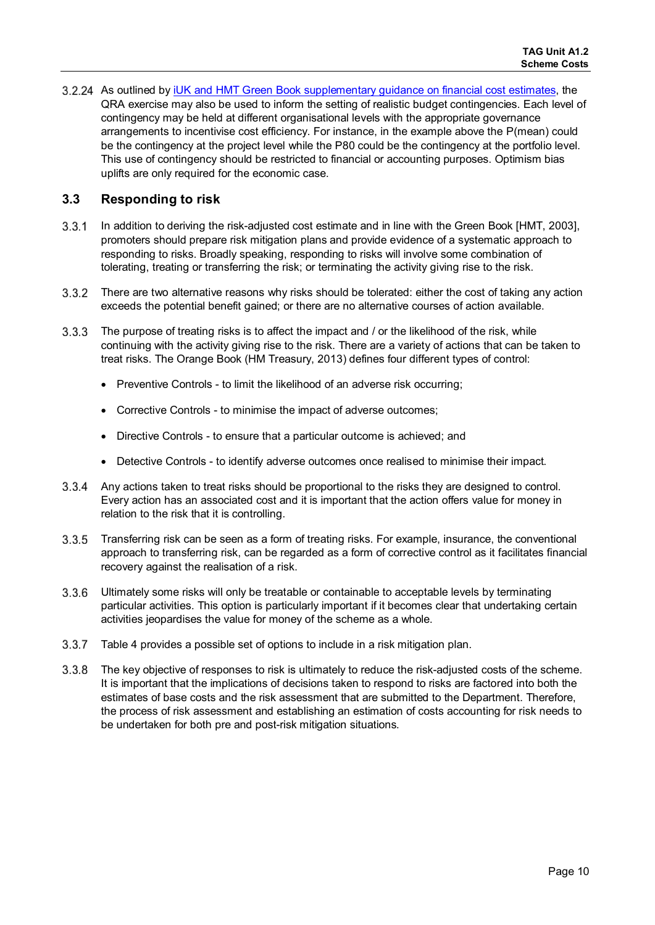3.2.24 As outlined by *iUK and HMT Green Book supplementary guidance on financial cost estimates*, the QRA exercise may also be used to inform the setting of realistic budget contingencies. Each level of contingency may be held at different organisational levels with the appropriate governance arrangements to incentivise cost efficiency. For instance, in the example above the P(mean) could be the contingency at the project level while the P80 could be the contingency at the portfolio level. This use of contingency should be restricted to financial or accounting purposes. Optimism bias uplifts are only required for the economic case.

## **3.3 Responding to risk**

- In addition to deriving the risk-adjusted cost estimate and in line with the Green Book [HMT, 2003], promoters should prepare risk mitigation plans and provide evidence of a systematic approach to responding to risks. Broadly speaking, responding to risks will involve some combination of tolerating, treating or transferring the risk; or terminating the activity giving rise to the risk.
- There are two alternative reasons why risks should be tolerated: either the cost of taking any action exceeds the potential benefit gained; or there are no alternative courses of action available.
- $3.3.3$ The purpose of treating risks is to affect the impact and / or the likelihood of the risk, while continuing with the activity giving rise to the risk. There are a variety of actions that can be taken to treat risks. The Orange Book (HM Treasury, 2013) defines four different types of control:
	- Preventive Controls to limit the likelihood of an adverse risk occurring;
	- Corrective Controls to minimise the impact of adverse outcomes;
	- Directive Controls to ensure that a particular outcome is achieved; and
	- Detective Controls to identify adverse outcomes once realised to minimise their impact.
- Any actions taken to treat risks should be proportional to the risks they are designed to control. Every action has an associated cost and it is important that the action offers value for money in relation to the risk that it is controlling.
- $3.3.5$ Transferring risk can be seen as a form of treating risks. For example, insurance, the conventional approach to transferring risk, can be regarded as a form of corrective control as it facilitates financial recovery against the realisation of a risk.
- 3.3.6 Ultimately some risks will only be treatable or containable to acceptable levels by terminating particular activities. This option is particularly important if it becomes clear that undertaking certain activities jeopardises the value for money of the scheme as a whole.
- Table 4 provides a possible set of options to include in a risk mitigation plan.
- The key objective of responses to risk is ultimately to reduce the risk-adjusted costs of the scheme. 3.3.8 It is important that the implications of decisions taken to respond to risks are factored into both the estimates of base costs and the risk assessment that are submitted to the Department. Therefore, the process of risk assessment and establishing an estimation of costs accounting for risk needs to be undertaken for both pre and post-risk mitigation situations.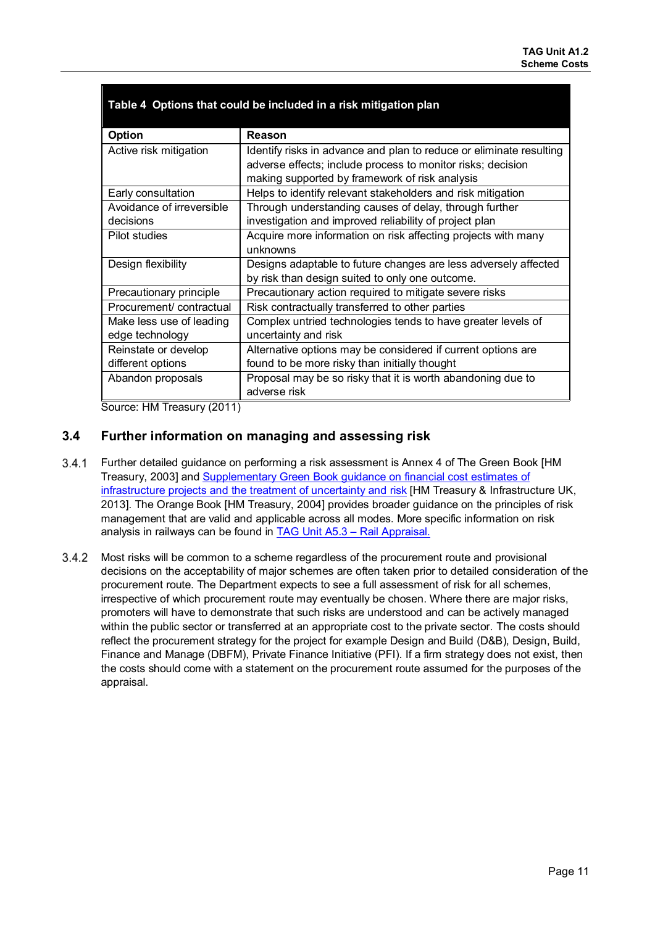| <b>Option</b>             | Reason                                                              |
|---------------------------|---------------------------------------------------------------------|
| Active risk mitigation    | Identify risks in advance and plan to reduce or eliminate resulting |
|                           | adverse effects; include process to monitor risks; decision         |
|                           | making supported by framework of risk analysis                      |
| Early consultation        | Helps to identify relevant stakeholders and risk mitigation         |
| Avoidance of irreversible | Through understanding causes of delay, through further              |
| decisions                 | investigation and improved reliability of project plan              |
| Pilot studies             | Acquire more information on risk affecting projects with many       |
|                           | unknowns                                                            |
| Design flexibility        | Designs adaptable to future changes are less adversely affected     |
|                           | by risk than design suited to only one outcome.                     |
| Precautionary principle   | Precautionary action required to mitigate severe risks              |
| Procurement/contractual   | Risk contractually transferred to other parties                     |
| Make less use of leading  | Complex untried technologies tends to have greater levels of        |
| edge technology           | uncertainty and risk                                                |
| Reinstate or develop      | Alternative options may be considered if current options are        |
| different options         | found to be more risky than initially thought                       |
| Abandon proposals         | Proposal may be so risky that it is worth abandoning due to         |
|                           | adverse risk                                                        |

## **Table 4 Options that could be included in a risk mitigation plan**

Source: HM Treasury (2011)

## **3.4 Further information on managing and assessing risk**

- $3.4.1$ Further detailed guidance on performing a risk assessment is Annex 4 of The Green Book [HM Treasury, 2003] and [Supplementary Green Book guidance on financial cost estimates of](https://www.gov.uk/government/publications/green-book-supplementary-guidance-valuing-infrastructure-spend/early-financial-cost-estimates-of-infrastructure-programmes-and-projects-and-the-treatment-of-uncertainty-and-risk)  [infrastructure projects and the treatment of uncertainty and risk](https://www.gov.uk/government/publications/green-book-supplementary-guidance-valuing-infrastructure-spend/early-financial-cost-estimates-of-infrastructure-programmes-and-projects-and-the-treatment-of-uncertainty-and-risk) [HM Treasury & Infrastructure UK, 2013]. The Orange Book [HM Treasury, 2004] provides broader guidance on the principles of risk management that are valid and applicable across all modes. More specific information on risk analysis in railways can be found in **TAG Unit A5.3 - Rail Appraisal.**
- $3.4.2$ Most risks will be common to a scheme regardless of the procurement route and provisional decisions on the acceptability of major schemes are often taken prior to detailed consideration of the procurement route. The Department expects to see a full assessment of risk for all schemes, irrespective of which procurement route may eventually be chosen. Where there are major risks, promoters will have to demonstrate that such risks are understood and can be actively managed within the public sector or transferred at an appropriate cost to the private sector. The costs should reflect the procurement strategy for the project for example Design and Build (D&B), Design, Build, Finance and Manage (DBFM), Private Finance Initiative (PFI). If a firm strategy does not exist, then the costs should come with a statement on the procurement route assumed for the purposes of the appraisal.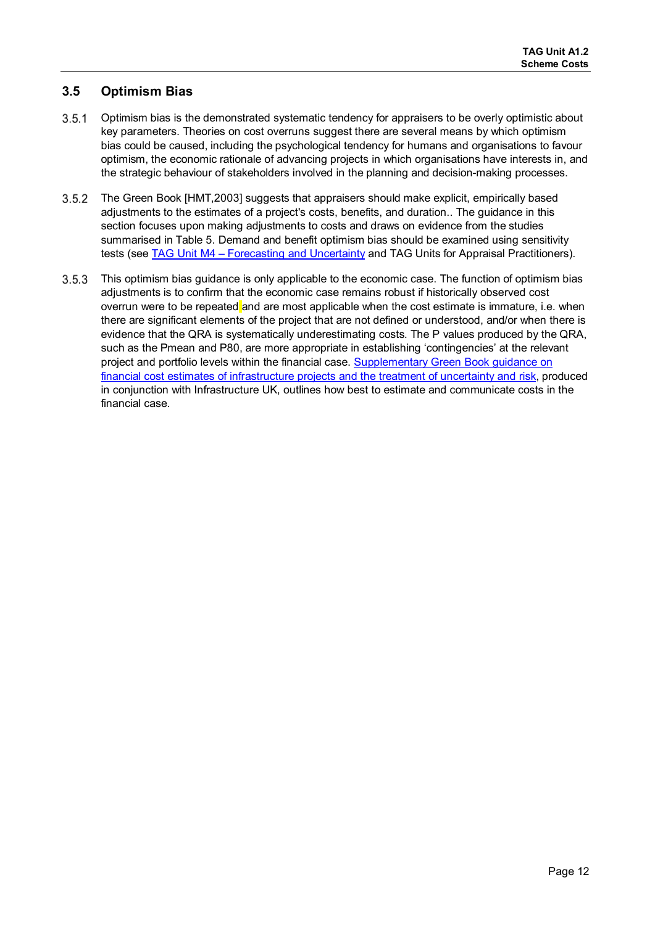## **3.5 Optimism Bias**

- $3.5.1$ Optimism bias is the demonstrated systematic tendency for appraisers to be overly optimistic about key parameters. Theories on cost overruns suggest there are several means by which optimism bias could be caused, including the psychological tendency for humans and organisations to favour optimism, the economic rationale of advancing projects in which organisations have interests in, and the strategic behaviour of stakeholders involved in the planning and decision-making processes.
- $3.5.2$ The Green Book [HMT,2003] suggests that appraisers should make explicit, empirically based adjustments to the estimates of a project's costs, benefits, and duration.. The guidance in this section focuses upon making adjustments to costs and draws on evidence from the studies summarised in Table 5. Demand and benefit optimism bias should be examined using sensitivity tests (see [TAG Unit M4 – Forecasting and Uncertainty](https://www.gov.uk/transport-analysis-guidance-webtag#m4-forecasting) and TAG Units for Appraisal Practitioners).
- 3.5.3 This optimism bias guidance is only applicable to the economic case. The function of optimism bias adjustments is to confirm that the economic case remains robust if historically observed cost overrun were to be repeated and are most applicable when the cost estimate is immature, i.e. when there are significant elements of the project that are not defined or understood, and/or when there is evidence that the QRA is systematically underestimating costs. The P values produced by the QRA, such as the Pmean and P80, are more appropriate in establishing 'contingencies' at the relevant project and portfolio levels within the financial case. Supplementary Green Book guidance on [financial cost estimates of infrastructure projects and the treatment of uncertainty and risk,](https://www.gov.uk/government/publications/green-book-supplementary-guidance-valuing-infrastructure-spend/early-financial-cost-estimates-of-infrastructure-programmes-and-projects-and-the-treatment-of-uncertainty-and-risk) produced in conjunction with Infrastructure UK, outlines how best to estimate and communicate costs in the financial case.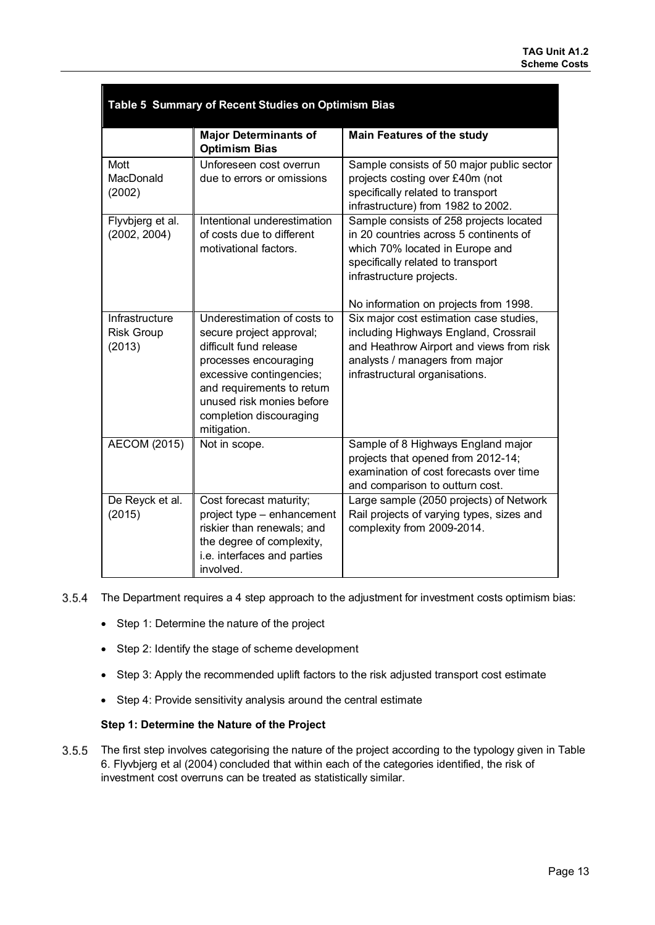| Table 5 Summary of Recent Studies on Optimism Bias |                                                                                                                                                                                                                                             |                                                                                                                                                                                                                                |  |  |  |
|----------------------------------------------------|---------------------------------------------------------------------------------------------------------------------------------------------------------------------------------------------------------------------------------------------|--------------------------------------------------------------------------------------------------------------------------------------------------------------------------------------------------------------------------------|--|--|--|
|                                                    | <b>Major Determinants of</b><br><b>Optimism Bias</b>                                                                                                                                                                                        | <b>Main Features of the study</b>                                                                                                                                                                                              |  |  |  |
| Mott<br>MacDonald<br>(2002)                        | Unforeseen cost overrun<br>due to errors or omissions                                                                                                                                                                                       | Sample consists of 50 major public sector<br>projects costing over £40m (not<br>specifically related to transport<br>infrastructure) from 1982 to 2002.                                                                        |  |  |  |
| Flyvbjerg et al.<br>(2002, 2004)                   | Intentional underestimation<br>of costs due to different<br>motivational factors.                                                                                                                                                           | Sample consists of 258 projects located<br>in 20 countries across 5 continents of<br>which 70% located in Europe and<br>specifically related to transport<br>infrastructure projects.<br>No information on projects from 1998. |  |  |  |
| Infrastructure<br><b>Risk Group</b><br>(2013)      | Underestimation of costs to<br>secure project approval;<br>difficult fund release<br>processes encouraging<br>excessive contingencies;<br>and requirements to return<br>unused risk monies before<br>completion discouraging<br>mitigation. | Six major cost estimation case studies,<br>including Highways England, Crossrail<br>and Heathrow Airport and views from risk<br>analysts / managers from major<br>infrastructural organisations.                               |  |  |  |
| <b>AECOM (2015)</b>                                | Not in scope.                                                                                                                                                                                                                               | Sample of 8 Highways England major<br>projects that opened from 2012-14;<br>examination of cost forecasts over time<br>and comparison to outturn cost.                                                                         |  |  |  |
| De Reyck et al.<br>(2015)                          | Cost forecast maturity;<br>project type - enhancement<br>riskier than renewals; and<br>the degree of complexity,<br>i.e. interfaces and parties<br>involved.                                                                                | Large sample (2050 projects) of Network<br>Rail projects of varying types, sizes and<br>complexity from 2009-2014.                                                                                                             |  |  |  |

- 3.5.4 The Department requires a 4 step approach to the adjustment for investment costs optimism bias:
	- Step 1: Determine the nature of the project
	- Step 2: Identify the stage of scheme development
	- Step 3: Apply the recommended uplift factors to the risk adjusted transport cost estimate
	- Step 4: Provide sensitivity analysis around the central estimate

#### **Step 1: Determine the Nature of the Project**

 $3.5.5$ The first step involves categorising the nature of the project according to the typology given in Table 6. Flyvbjerg et al (2004) concluded that within each of the categories identified, the risk of investment cost overruns can be treated as statistically similar.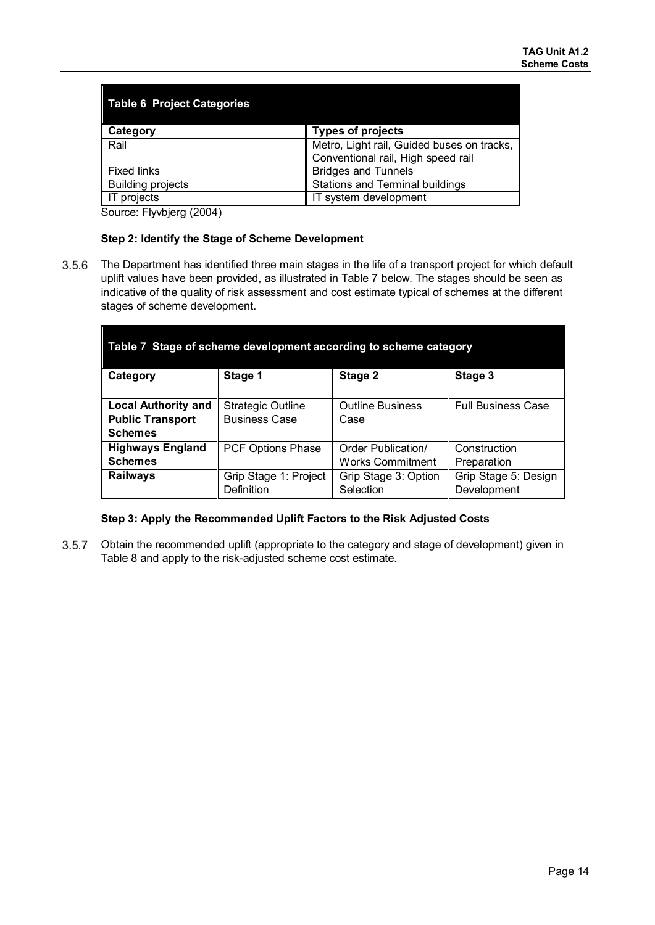| <b>Table 6 Project Categories</b> |                                            |  |  |  |  |
|-----------------------------------|--------------------------------------------|--|--|--|--|
| Category                          | <b>Types of projects</b>                   |  |  |  |  |
| Rail                              | Metro, Light rail, Guided buses on tracks, |  |  |  |  |
|                                   | Conventional rail, High speed rail         |  |  |  |  |
| <b>Fixed links</b>                | <b>Bridges and Tunnels</b>                 |  |  |  |  |
| <b>Building projects</b>          | Stations and Terminal buildings            |  |  |  |  |
| projects                          | IT system development                      |  |  |  |  |

Source: Flyvbjerg (2004)

#### **Step 2: Identify the Stage of Scheme Development**

 $3.5.6$ The Department has identified three main stages in the life of a transport project for which default uplift values have been provided, as illustrated in Table 7 below. The stages should be seen as indicative of the quality of risk assessment and cost estimate typical of schemes at the different stages of scheme development.

| Table 7 Stage of scheme development according to scheme category |                          |                         |                           |  |  |  |
|------------------------------------------------------------------|--------------------------|-------------------------|---------------------------|--|--|--|
| Category                                                         | Stage 1                  | Stage 2                 | Stage 3                   |  |  |  |
|                                                                  |                          |                         |                           |  |  |  |
| <b>Local Authority and</b>                                       | <b>Strategic Outline</b> | <b>Outline Business</b> | <b>Full Business Case</b> |  |  |  |
| <b>Public Transport</b>                                          | <b>Business Case</b>     | Case                    |                           |  |  |  |
| <b>Schemes</b>                                                   |                          |                         |                           |  |  |  |
| <b>Highways England</b>                                          | <b>PCF Options Phase</b> | Order Publication/      | Construction              |  |  |  |
| <b>Schemes</b>                                                   |                          | Works Commitment        | Preparation               |  |  |  |
| <b>Railways</b>                                                  | Grip Stage 1: Project    | Grip Stage 3: Option    | Grip Stage 5: Design      |  |  |  |
|                                                                  | Definition               | Selection               | Development               |  |  |  |

#### **Step 3: Apply the Recommended Uplift Factors to the Risk Adjusted Costs**

 $3.5.7$ Obtain the recommended uplift (appropriate to the category and stage of development) given in Table 8 and apply to the risk-adjusted scheme cost estimate.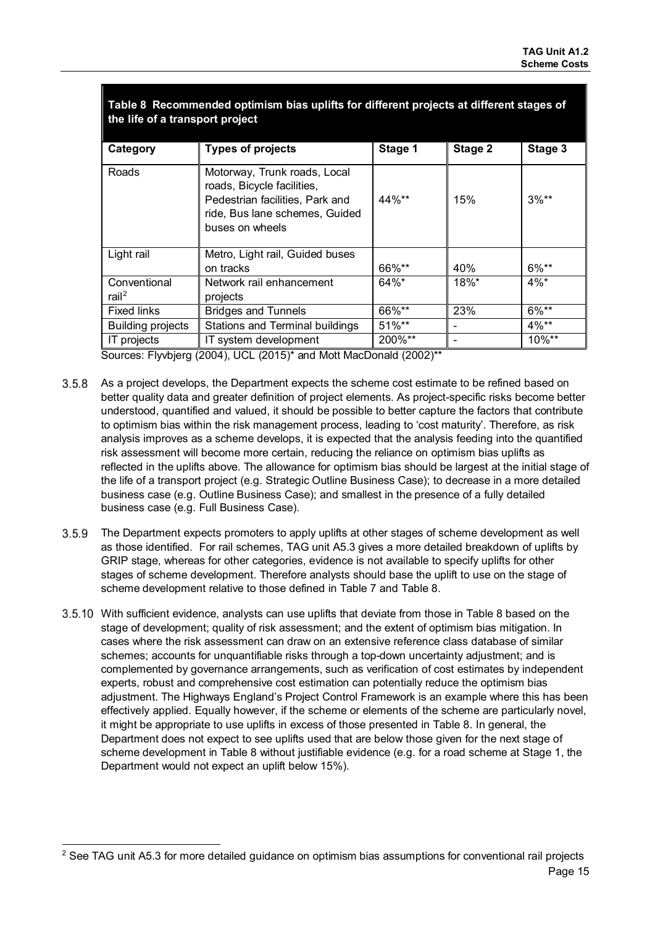| the life of a transport project   |                                                                                                                                                    |          |                          |          |  |  |
|-----------------------------------|----------------------------------------------------------------------------------------------------------------------------------------------------|----------|--------------------------|----------|--|--|
| Category                          | <b>Types of projects</b>                                                                                                                           | Stage 1  | Stage 2                  | Stage 3  |  |  |
| Roads                             | Motorway, Trunk roads, Local<br>roads, Bicycle facilities,<br>Pedestrian facilities, Park and<br>ride, Bus lane schemes, Guided<br>buses on wheels | 44%**    | 15%                      | $3%**$   |  |  |
| Light rail                        | Metro, Light rail, Guided buses                                                                                                                    |          |                          |          |  |  |
|                                   | on tracks                                                                                                                                          | 66%**    | 40%                      | 6%**     |  |  |
| Conventional<br>rail <sup>2</sup> | Network rail enhancement<br>projects                                                                                                               | $64\%$ * | $18\%$ *                 | $4\%$ *  |  |  |
| <b>Fixed links</b>                | <b>Bridges and Tunnels</b>                                                                                                                         | 66%**    | 23%                      | $6\%**$  |  |  |
| <b>Building projects</b>          | Stations and Terminal buildings                                                                                                                    | $51\%**$ | $\overline{\phantom{a}}$ | $4\%**$  |  |  |
| IT projects                       | IT system development                                                                                                                              | 200%**   | $\overline{\phantom{a}}$ | $10\%**$ |  |  |

**Table 8 Recommended optimism bias uplifts for different projects at different stages of** 

Sources: Flyvbjerg (2004), UCL (2015)\* and Mott MacDonald (2002)\*\*

- $3.5.8$ As a project develops, the Department expects the scheme cost estimate to be refined based on better quality data and greater definition of project elements. As project-specific risks become better understood, quantified and valued, it should be possible to better capture the factors that contribute to optimism bias within the risk management process, leading to 'cost maturity'. Therefore, as risk analysis improves as a scheme develops, it is expected that the analysis feeding into the quantified risk assessment will become more certain, reducing the reliance on optimism bias uplifts as reflected in the uplifts above. The allowance for optimism bias should be largest at the initial stage of the life of a transport project (e.g. Strategic Outline Business Case); to decrease in a more detailed business case (e.g. Outline Business Case); and smallest in the presence of a fully detailed business case (e.g. Full Business Case).
- $3.5.9$ The Department expects promoters to apply uplifts at other stages of scheme development as well as those identified. For rail schemes, TAG unit A5.3 gives a more detailed breakdown of uplifts by GRIP stage, whereas for other categories, evidence is not available to specify uplifts for other stages of scheme development. Therefore analysts should base the uplift to use on the stage of scheme development relative to those defined in Table 7 and Table 8.
- With sufficient evidence, analysts can use uplifts that deviate from those in Table 8 based on the stage of development; quality of risk assessment; and the extent of optimism bias mitigation. In cases where the risk assessment can draw on an extensive reference class database of similar schemes; accounts for unquantifiable risks through a top-down uncertainty adjustment; and is complemented by governance arrangements, such as verification of cost estimates by independent experts, robust and comprehensive cost estimation can potentially reduce the optimism bias adjustment. The Highways England's Project Control Framework is an example where this has been effectively applied. Equally however, if the scheme or elements of the scheme are particularly novel, it might be appropriate to use uplifts in excess of those presented in Table 8. In general, the Department does not expect to see uplifts used that are below those given for the next stage of scheme development in Table 8 without justifiable evidence (e.g. for a road scheme at Stage 1, the Department would not expect an uplift below 15%).

 $\overline{a}$ <sup>2</sup> See TAG unit A5.3 for more detailed guidance on optimism bias assumptions for conventional rail projects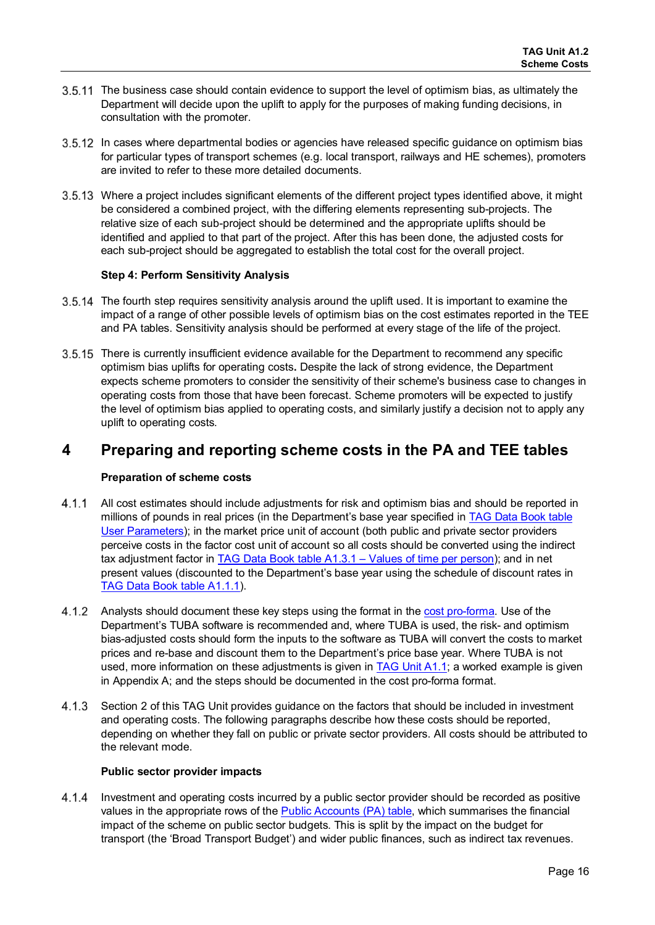- 3.5.11 The business case should contain evidence to support the level of optimism bias, as ultimately the Department will decide upon the uplift to apply for the purposes of making funding decisions, in consultation with the promoter.
- 3.5.12 In cases where departmental bodies or agencies have released specific guidance on optimism bias for particular types of transport schemes (e.g. local transport, railways and HE schemes), promoters are invited to refer to these more detailed documents.
- Where a project includes significant elements of the different project types identified above, it might be considered a combined project, with the differing elements representing sub-projects. The relative size of each sub-project should be determined and the appropriate uplifts should be identified and applied to that part of the project. After this has been done, the adjusted costs for each sub-project should be aggregated to establish the total cost for the overall project.

#### **Step 4: Perform Sensitivity Analysis**

- 3.5.14 The fourth step requires sensitivity analysis around the uplift used. It is important to examine the impact of a range of other possible levels of optimism bias on the cost estimates reported in the TEE and PA tables. Sensitivity analysis should be performed at every stage of the life of the project.
- 3.5.15 There is currently insufficient evidence available for the Department to recommend any specific optimism bias uplifts for operating costs**.** Despite the lack of strong evidence, the Department expects scheme promoters to consider the sensitivity of their scheme's business case to changes in operating costs from those that have been forecast. Scheme promoters will be expected to justify the level of optimism bias applied to operating costs, and similarly justify a decision not to apply any uplift to operating costs.

## **4 Preparing and reporting scheme costs in the PA and TEE tables**

#### **Preparation of scheme costs**

- $4.1.1$ All cost estimates should include adjustments for risk and optimism bias and should be reported in millions of pounds in real prices (in the Department's base year specified in [TAG Data Book](https://www.gov.uk/transport-analysis-guidance-webtag#webtag-data-book) table [User Parameters\)](https://www.gov.uk/transport-analysis-guidance-webtag#webtag-data-book); in the market price unit of account (both public and private sector providers perceive costs in the factor cost unit of account so all costs should be converted using the indirect tax adjustment factor in [TAG Data Book table A1.3.1 – Values of time per person\)](https://www.gov.uk/transport-analysis-guidance-webtag#webtag-data-book); and in net present values (discounted to the Department's base year using the schedule of discount rates in [TAG Data Book](https://www.gov.uk/transport-analysis-guidance-webtag#webtag-data-book) table A1.1.1).
- $4.1.2$ Analysts should document these key steps using the format in the [cost pro-forma.](https://www.gov.uk/government/publications/webtag-appraisal-worksheets-proformas) Use of the Department's TUBA software is recommended and, where TUBA is used, the risk- and optimism bias-adjusted costs should form the inputs to the software as TUBA will convert the costs to market prices and re-base and discount them to the Department's price base year. Where TUBA is not used, more information on these adjustments is given in [TAG Unit A1.1;](https://www.gov.uk/transport-analysis-guidance-webtag#a1-cost-benefit-analysis) a worked example is given in [Appendix A;](#page-20-1) and the steps should be documented in the cost pro-forma format.
- $4.1.3$ Section 2 of this TAG Unit provides guidance on the factors that should be included in investment and operating costs. The following paragraphs describe how these costs should be reported, depending on whether they fall on public or private sector providers. All costs should be attributed to the relevant mode.

#### **Public sector provider impacts**

4.1.4 Investment and operating costs incurred by a public sector provider should be recorded as positive values in the appropriate rows of the [Public Accounts \(PA\) table,](https://www.gov.uk/government/publications/webtag-appraisal-tables) which summarises the financial impact of the scheme on public sector budgets. This is split by the impact on the budget for transport (the 'Broad Transport Budget') and wider public finances, such as indirect tax revenues.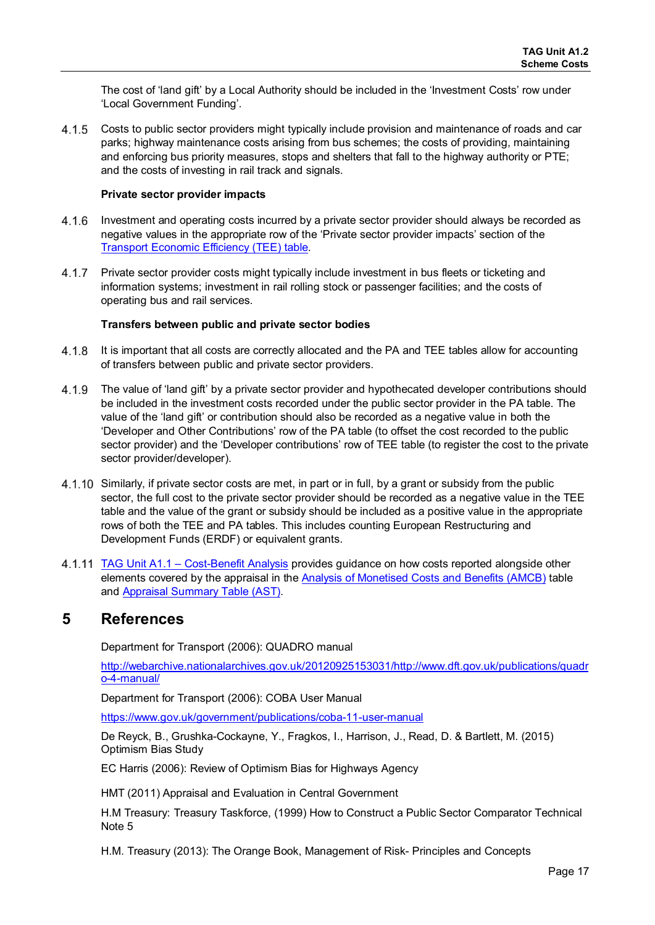The cost of 'land gift' by a Local Authority should be included in the 'Investment Costs' row under 'Local Government Funding'.

Costs to public sector providers might typically include provision and maintenance of roads and car parks; highway maintenance costs arising from bus schemes; the costs of providing, maintaining and enforcing bus priority measures, stops and shelters that fall to the highway authority or PTE; and the costs of investing in rail track and signals.

#### **Private sector provider impacts**

- $4.1.6$ Investment and operating costs incurred by a private sector provider should always be recorded as negative values in the appropriate row of the 'Private sector provider impacts' section of the [Transport Economic Efficiency \(TEE\) table.](https://www.gov.uk/government/publications/webtag-appraisal-tables)
- $4.1.7$ Private sector provider costs might typically include investment in bus fleets or ticketing and information systems; investment in rail rolling stock or passenger facilities; and the costs of operating bus and rail services.

#### **Transfers between public and private sector bodies**

- $4.1.8$ It is important that all costs are correctly allocated and the PA and TEE tables allow for accounting of transfers between public and private sector providers.
- 4.1.9 The value of 'land gift' by a private sector provider and hypothecated developer contributions should be included in the investment costs recorded under the public sector provider in the PA table. The value of the 'land gift' or contribution should also be recorded as a negative value in both the 'Developer and Other Contributions' row of the PA table (to offset the cost recorded to the public sector provider) and the 'Developer contributions' row of TEE table (to register the cost to the private sector provider/developer).
- 4.1.10 Similarly, if private sector costs are met, in part or in full, by a grant or subsidy from the public sector, the full cost to the private sector provider should be recorded as a negative value in the TEE table and the value of the grant or subsidy should be included as a positive value in the appropriate rows of both the TEE and PA tables. This includes counting European Restructuring and Development Funds (ERDF) or equivalent grants.
- [TAG Unit A1.1 Cost-Benefit Analysis p](https://www.gov.uk/transport-analysis-guidance-webtag#a1-cost-benefit-analysis)rovides guidance on how costs reported alongside other elements covered by the appraisal in the [Analysis of Monetised Costs and Benefits](https://www.gov.uk/government/publications/webtag-appraisal-tables) (AMCB) table and [Appraisal Summary Table \(AST\).](https://www.gov.uk/government/publications/webtag-appraisal-tables)

## **5 References**

Department for Transport (2006): QUADRO manual

[http://webarchive.nationalarchives.gov.uk/20120925153031/http://www.dft.gov.uk/publications/quadr](http://webarchive.nationalarchives.gov.uk/20120925153031/http:/www.dft.gov.uk/publications/quadro-4-manual/) [o-4-manual/](http://webarchive.nationalarchives.gov.uk/20120925153031/http:/www.dft.gov.uk/publications/quadro-4-manual/) 

Department for Transport (2006): COBA User Manual

<https://www.gov.uk/government/publications/coba-11-user-manual>

De Reyck, B., Grushka-Cockayne, Y., Fragkos, I., Harrison, J., Read, D. & Bartlett, M. (2015) Optimism Bias Study

EC Harris (2006): Review of Optimism Bias for Highways Agency

HMT (2011) Appraisal and Evaluation in Central Government

H.M Treasury: Treasury Taskforce, (1999) How to Construct a Public Sector Comparator Technical Note 5

H.M. Treasury (2013): The Orange Book, Management of Risk- Principles and Concepts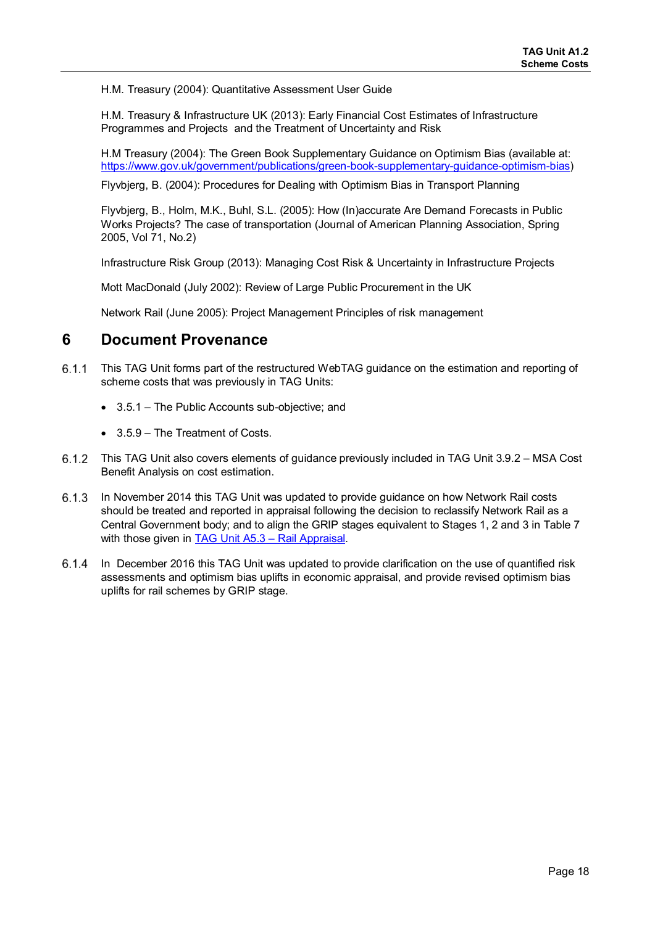H.M. Treasury (2004): Quantitative Assessment User Guide

H.M. Treasury & Infrastructure UK (2013): Early Financial Cost Estimates of Infrastructure Programmes and Projects and the Treatment of Uncertainty and Risk

H.M Treasury (2004): The Green Book Supplementary Guidance on Optimism Bias (available at: [https://www.gov.uk/government/publications/green-book-supplementary-guidance-optimism-bias\)](https://www.gov.uk/government/publications/green-book-supplementary-guidance-optimism-bias)

Flyvbjerg, B. (2004): Procedures for Dealing with Optimism Bias in Transport Planning

Flyvbjerg, B., Holm, M.K., Buhl, S.L. (2005): How (In)accurate Are Demand Forecasts in Public Works Projects? The case of transportation (Journal of American Planning Association, Spring 2005, Vol 71, No.2)

Infrastructure Risk Group (2013): Managing Cost Risk & Uncertainty in Infrastructure Projects

Mott MacDonald (July 2002): Review of Large Public Procurement in the UK

Network Rail (June 2005): Project Management Principles of risk management

## **6 Document Provenance**

- $6.1.1$ This TAG Unit forms part of the restructured WebTAG guidance on the estimation and reporting of scheme costs that was previously in TAG Units:
	- 3.5.1 The Public Accounts sub-objective; and
	- 3.5.9 The Treatment of Costs.
- This TAG Unit also covers elements of guidance previously included in TAG Unit 3.9.2 MSA Cost Benefit Analysis on cost estimation.
- 6.1.3 In November 2014 this TAG Unit was updated to provide guidance on how Network Rail costs should be treated and reported in appraisal following the decision to reclassify Network Rail as a Central Government body; and to align the GRIP stages equivalent to Stages 1, 2 and 3 in Table 7 with those given in TAG Unit A5.3 - Rail Appraisal.
- $6.1.4$ In December 2016 this TAG Unit was updated to provide clarification on the use of quantified risk assessments and optimism bias uplifts in economic appraisal, and provide revised optimism bias uplifts for rail schemes by GRIP stage.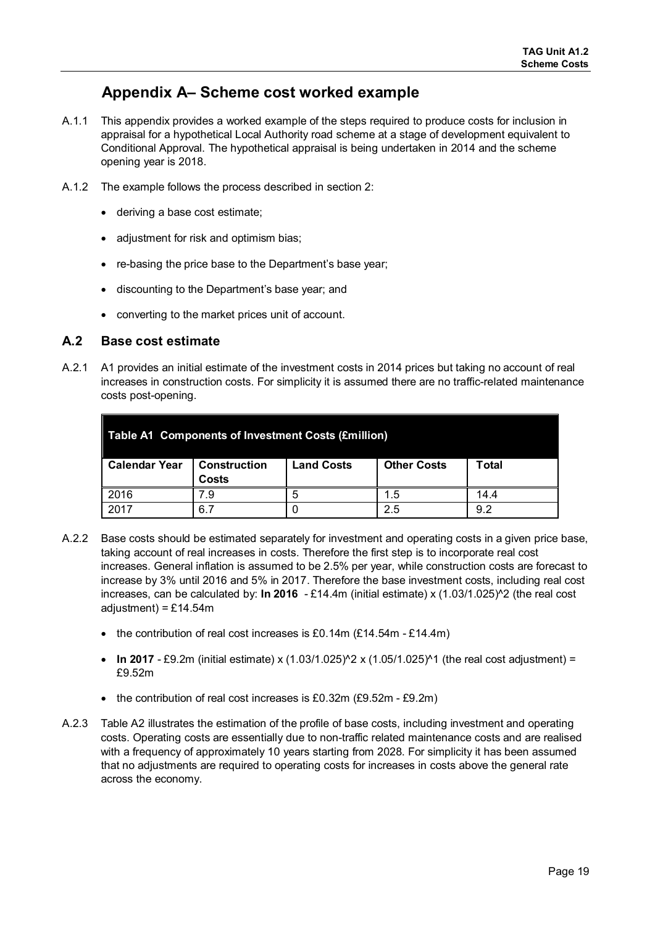## **Appendix A– Scheme cost worked example**

- <span id="page-20-1"></span><span id="page-20-0"></span>A.1.1 This appendix provides a worked example of the steps required to produce costs for inclusion in appraisal for a hypothetical Local Authority road scheme at a stage of development equivalent to Conditional Approval. The hypothetical appraisal is being undertaken in 2014 and the scheme opening year is 2018.
- A.1.2 The example follows the process described in section 2:
	- deriving a base cost estimate;
	- adjustment for risk and optimism bias;
	- re-basing the price base to the Department's base year;
	- discounting to the Department's base year; and
	- converting to the market prices unit of account.

## **A.2 Base cost estimate**

A.2.1 A1 provides an initial estimate of the investment costs in 2014 prices but taking no account of real increases in construction costs. For simplicity it is assumed there are no traffic-related maintenance costs post-opening.

| Table A1 Components of Investment Costs (£million) |                              |                   |                    |       |  |  |
|----------------------------------------------------|------------------------------|-------------------|--------------------|-------|--|--|
| <b>Calendar Year</b>                               | <b>Construction</b><br>Costs | <b>Land Costs</b> | <b>Other Costs</b> | Total |  |  |
| 2016                                               |                              |                   | 1.5                | 14.4  |  |  |
| 2017                                               | 6.                           |                   | 2.5                | 9.2   |  |  |

- A.2.2 Base costs should be estimated separately for investment and operating costs in a given price base, taking account of real increases in costs. Therefore the first step is to incorporate real cost increases. General inflation is assumed to be 2.5% per year, while construction costs are forecast to increase by 3% until 2016 and 5% in 2017. Therefore the base investment costs, including real cost increases, can be calculated by: **In 2016** - £14.4m (initial estimate) x (1.03/1.025)^2 (the real cost adjustment) =  $£14.54m$ 
	- the contribution of real cost increases is £0.14m (£14.54m £14.4m)
	- **In 2017** £9.2m (initial estimate) x (1.03/1.025)<sup> $\land$ </sup> x (1.05/1.025)<sup> $\land$ </sup>1 (the real cost adjustment) = £9.52m
	- the contribution of real cost increases is £0.32m (£9.52m £9.2m)
- A.2.3 Table A2 illustrates the estimation of the profile of base costs, including investment and operating costs. Operating costs are essentially due to non-traffic related maintenance costs and are realised with a frequency of approximately 10 years starting from 2028. For simplicity it has been assumed that no adjustments are required to operating costs for increases in costs above the general rate across the economy.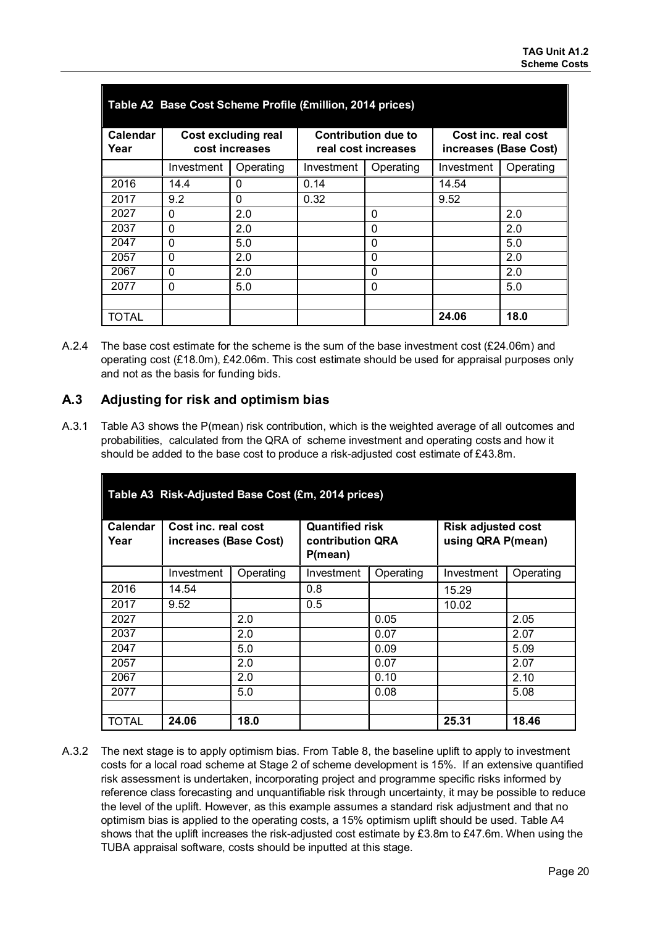| Table A2 Base Cost Scheme Profile (£million, 2014 prices) |                                              |           |                                                   |           |                                              |           |  |
|-----------------------------------------------------------|----------------------------------------------|-----------|---------------------------------------------------|-----------|----------------------------------------------|-----------|--|
| Calendar<br>Year                                          | <b>Cost excluding real</b><br>cost increases |           | <b>Contribution due to</b><br>real cost increases |           | Cost inc. real cost<br>increases (Base Cost) |           |  |
|                                                           | Investment                                   | Operating | Investment                                        | Operating | Investment                                   | Operating |  |
| 2016                                                      | 14.4                                         | 0         | 0.14                                              |           | 14.54                                        |           |  |
| 2017                                                      | 9.2                                          | 0         | 0.32                                              |           | 9.52                                         |           |  |
| 2027                                                      | 0                                            | 2.0       |                                                   | 0         |                                              | 2.0       |  |
| 2037                                                      | $\Omega$                                     | 2.0       |                                                   | $\Omega$  |                                              | 2.0       |  |
| 2047                                                      | $\Omega$                                     | 5.0       |                                                   | $\Omega$  |                                              | 5.0       |  |
| 2057                                                      | $\Omega$                                     | 2.0       |                                                   | 0         |                                              | 2.0       |  |
| 2067                                                      | 0                                            | 2.0       |                                                   | 0         |                                              | 2.0       |  |
| 2077                                                      | $\Omega$                                     | 5.0       |                                                   | $\Omega$  |                                              | 5.0       |  |
|                                                           |                                              |           |                                                   |           |                                              |           |  |
| <b>TOTAL</b>                                              |                                              |           |                                                   |           | 24.06                                        | 18.0      |  |

A.2.4 The base cost estimate for the scheme is the sum of the base investment cost (£24.06m) and operating cost (£18.0m), £42.06m. This cost estimate should be used for appraisal purposes only and not as the basis for funding bids.

## **A.3 Adjusting for risk and optimism bias**

A.3.1 Table A3 shows the P(mean) risk contribution, which is the weighted average of all outcomes and probabilities, calculated from the QRA of scheme investment and operating costs and how it should be added to the base cost to produce a risk-adjusted cost estimate of £43.8m.

| Table A3 Risk-Adjusted Base Cost (£m, 2014 prices) |                                              |           |                                                              |           |                                                |           |  |
|----------------------------------------------------|----------------------------------------------|-----------|--------------------------------------------------------------|-----------|------------------------------------------------|-----------|--|
| Calendar<br>Year                                   | Cost inc. real cost<br>increases (Base Cost) |           | <b>Quantified risk</b><br><b>contribution QRA</b><br>P(mean) |           | <b>Risk adjusted cost</b><br>using QRA P(mean) |           |  |
|                                                    | Investment                                   | Operating | Investment                                                   | Operating | Investment                                     | Operating |  |
| 2016                                               | 14.54                                        |           | 0.8                                                          |           | 15.29                                          |           |  |
| 2017                                               | 9.52                                         |           | 0.5                                                          |           | 10.02                                          |           |  |
| 2027                                               |                                              | 2.0       |                                                              | 0.05      |                                                | 2.05      |  |
| 2037                                               |                                              | 2.0       |                                                              | 0.07      |                                                | 2.07      |  |
| 2047                                               |                                              | 5.0       |                                                              | 0.09      |                                                | 5.09      |  |
| 2057                                               |                                              | 2.0       |                                                              | 0.07      |                                                | 2.07      |  |
| 2067                                               |                                              | 2.0       |                                                              | 0.10      |                                                | 2.10      |  |
| 2077                                               |                                              | 5.0       |                                                              | 0.08      |                                                | 5.08      |  |
|                                                    |                                              |           |                                                              |           |                                                |           |  |
| <b>TOTAL</b>                                       | 24.06                                        | 18.0      |                                                              |           | 25.31                                          | 18.46     |  |

A.3.2 The next stage is to apply optimism bias. From Table 8, the baseline uplift to apply to investment costs for a local road scheme at Stage 2 of scheme development is 15%. If an extensive quantified risk assessment is undertaken, incorporating project and programme specific risks informed by reference class forecasting and unquantifiable risk through uncertainty, it may be possible to reduce the level of the uplift. However, as this example assumes a standard risk adjustment and that no optimism bias is applied to the operating costs, a 15% optimism uplift should be used. Table A4 shows that the uplift increases the risk-adjusted cost estimate by £3.8m to £47.6m. When using the TUBA appraisal software, costs should be inputted at this stage.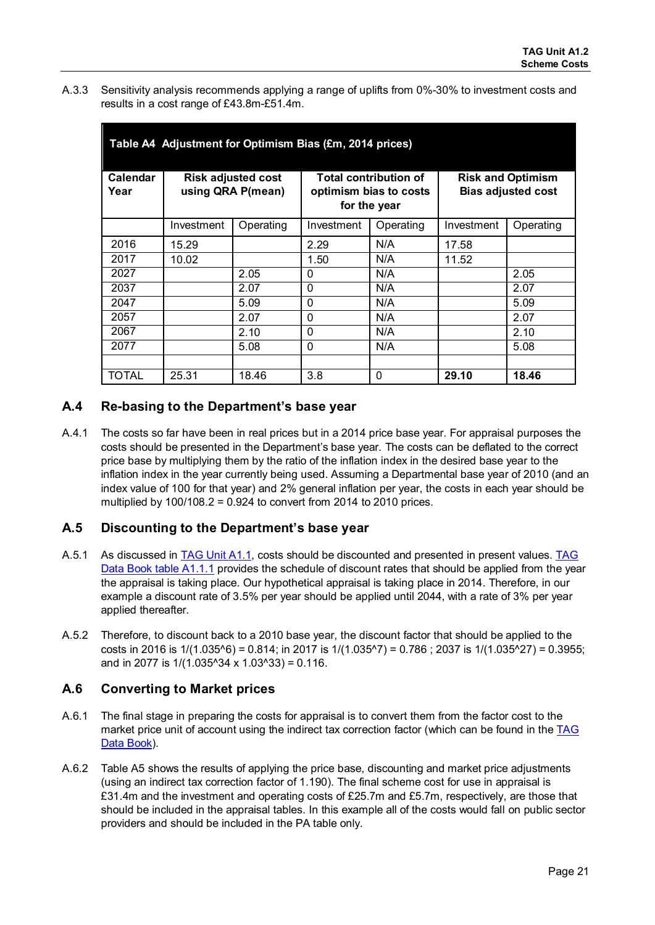A.3.3 Sensitivity analysis recommends applying a range of uplifts from 0%-30% to investment costs and results in a cost range of £43.8m-£51.4m.

| Table A4 Adjustment for Optimism Bias (£m, 2014 prices) |                                                |           |                                                                        |           |                                                       |           |  |  |  |  |  |  |
|---------------------------------------------------------|------------------------------------------------|-----------|------------------------------------------------------------------------|-----------|-------------------------------------------------------|-----------|--|--|--|--|--|--|
| <b>Calendar</b><br>Year                                 | <b>Risk adjusted cost</b><br>using QRA P(mean) |           | <b>Total contribution of</b><br>optimism bias to costs<br>for the year |           | <b>Risk and Optimism</b><br><b>Bias adjusted cost</b> |           |  |  |  |  |  |  |
|                                                         | Investment                                     | Operating | Investment                                                             | Operating | Investment                                            | Operating |  |  |  |  |  |  |
| 2016                                                    | 15.29                                          |           | 2.29                                                                   | N/A       | 17.58                                                 |           |  |  |  |  |  |  |
| 2017                                                    | 10.02                                          |           | 1.50                                                                   | N/A       | 11.52                                                 |           |  |  |  |  |  |  |
| 2027                                                    |                                                | 2.05      | $\Omega$                                                               | N/A       |                                                       | 2.05      |  |  |  |  |  |  |
| 2037                                                    |                                                | 2.07      | $\Omega$                                                               | N/A       |                                                       | 2.07      |  |  |  |  |  |  |
| 2047                                                    |                                                | 5.09      | $\Omega$                                                               | N/A       |                                                       | 5.09      |  |  |  |  |  |  |
| 2057                                                    |                                                | 2.07      | $\Omega$                                                               | N/A       |                                                       | 2.07      |  |  |  |  |  |  |
| 2067                                                    |                                                | 2.10      | $\Omega$                                                               | N/A       |                                                       | 2.10      |  |  |  |  |  |  |
| 2077                                                    |                                                | 5.08      | $\mathbf{0}$                                                           | N/A       |                                                       | 5.08      |  |  |  |  |  |  |
|                                                         |                                                |           |                                                                        |           |                                                       |           |  |  |  |  |  |  |
| TOTAL                                                   | 25.31                                          | 18.46     | 3.8                                                                    | $\Omega$  | 29.10                                                 | 18.46     |  |  |  |  |  |  |

## **A.4 Re-basing to the Department's base year**

A.4.1 The costs so far have been in real prices but in a 2014 price base year. For appraisal purposes the costs should be presented in the Department's base year. The costs can be deflated to the correct price base by multiplying them by the ratio of the inflation index in the desired base year to the inflation index in the year currently being used. Assuming a Departmental base year of 2010 (and an index value of 100 for that year) and 2% general inflation per year, the costs in each year should be multiplied by  $100/108.2 = 0.924$  to convert from 2014 to 2010 prices.

## **A.5 Discounting to the Department's base year**

- A.5.1 As discussed in [TAG Unit A1.1,](https://www.gov.uk/transport-analysis-guidance-webtag#a1-cost-benefit-analysis) costs should be discounted and presented in present values. TAG [Data Book table A1.1.1](https://www.gov.uk/transport-analysis-guidance-webtag#webtag-data-book) provides the schedule of discount rates that should be applied from the year the appraisal is taking place. Our hypothetical appraisal is taking place in 2014. Therefore, in our example a discount rate of 3.5% per year should be applied until 2044, with a rate of 3% per year applied thereafter.
- A.5.2 Therefore, to discount back to a 2010 base year, the discount factor that should be applied to the costs in 2016 is  $1/(1.035<sup>6</sup>) = 0.814$ ; in 2017 is  $1/(1.035<sup>6</sup>) = 0.786$ ; 2037 is  $1/(1.035<sup>6</sup>27) = 0.3955$ ; and in 2077 is  $1/(1.035^{\circ}34 \times 1.03^{\circ}33) = 0.116$ .

## **A.6 Converting to Market prices**

- A.6.1 The final stage in preparing the costs for appraisal is to convert them from the factor cost to the market price unit of account using the indirect tax correction factor (which can be found in the [TAG](https://www.gov.uk/transport-analysis-guidance-webtag#webtag-data-book)  [Data Book\)](https://www.gov.uk/transport-analysis-guidance-webtag#webtag-data-book).
- A.6.2 Table A5 shows the results of applying the price base, discounting and market price adjustments (using an indirect tax correction factor of 1.190). The final scheme cost for use in appraisal is £31.4m and the investment and operating costs of £25.7m and £5.7m, respectively, are those that should be included in the appraisal tables. In this example all of the costs would fall on public sector providers and should be included in the PA table only.